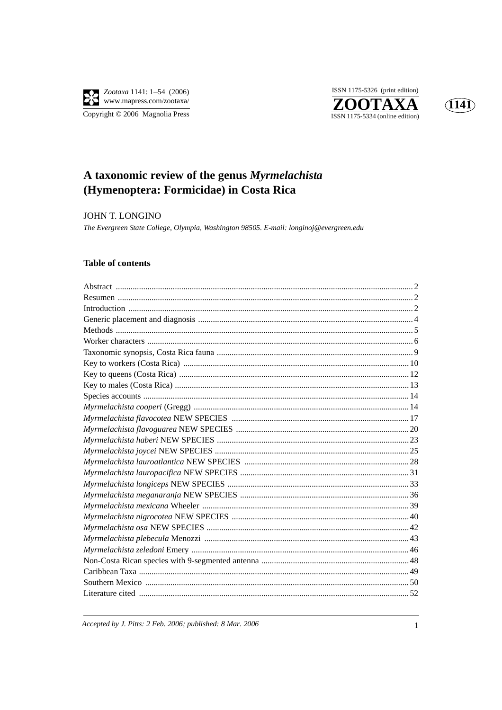

ISSN 1175-5326 (print edition) ZOOTAXA  $\overline{\text{ISSN }1175\text{-}5334}$  (online edition)



# A taxonomic review of the genus Myrmelachista (Hymenoptera: Formicidae) in Costa Rica

**JOHN T. LONGINO** 

The Evergreen State College, Olympia, Washington 98505. E-mail: longinoj@evergreen.edu

# **Table of contents**

Accepted by J. Pitts: 2 Feb. 2006; published: 8 Mar. 2006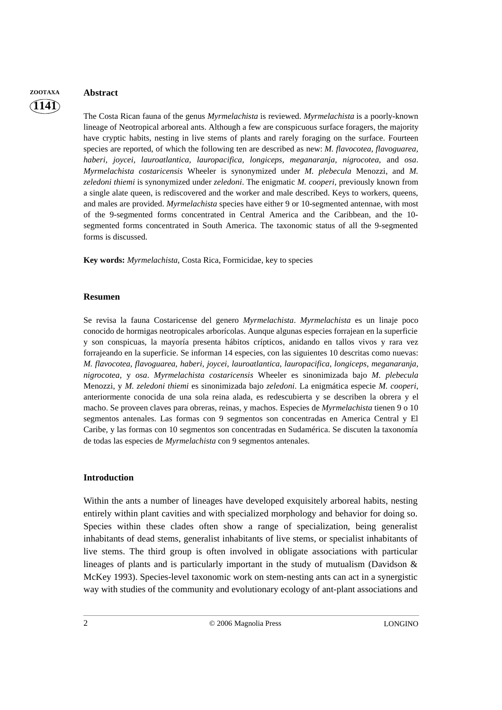# **ZOOTAXA Abstract**

**1141**

The Costa Rican fauna of the genus *Myrmelachista* is reviewed. *Myrmelachista* is a poorly-known lineage of Neotropical arboreal ants. Although a few are conspicuous surface foragers, the majority have cryptic habits, nesting in live stems of plants and rarely foraging on the surface. Fourteen species are reported, of which the following ten are described as new: *M. flavocotea, flavoguarea, haberi, joycei, lauroatlantica, lauropacifica, longiceps, meganaranja, nigrocotea*, and *osa*. *Myrmelachista costaricensis* Wheeler is synonymized under *M. plebecula* Menozzi, and *M. zeledoni thiemi* is synonymized under *zeledoni*. The enigmatic *M. cooperi*, previously known from a single alate queen, is rediscovered and the worker and male described. Keys to workers, queens, and males are provided. *Myrmelachista* species have either 9 or 10-segmented antennae, with most of the 9-segmented forms concentrated in Central America and the Caribbean, and the 10 segmented forms concentrated in South America. The taxonomic status of all the 9-segmented forms is discussed.

**Key words:** *Myrmelachista*, Costa Rica, Formicidae, key to species

### **Resumen**

Se revisa la fauna Costaricense del genero *Myrmelachista*. *Myrmelachista* es un linaje poco conocido de hormigas neotropicales arborícolas. Aunque algunas especies forrajean en la superficie y son conspicuas, la mayoría presenta hábitos crípticos, anidando en tallos vivos y rara vez forrajeando en la superficie. Se informan 14 especies, con las siguientes 10 descritas como nuevas: *M. flavocotea, flavoguarea, haberi, joycei, lauroatlantica, lauropacifica, longiceps, meganaranja, nigrocotea*, y *osa*. *Myrmelachista costaricensis* Wheeler es sinonimizada bajo *M. plebecula* Menozzi, y *M. zeledoni thiemi* es sinonimizada bajo *zeledoni*. La enigmática especie *M. cooperi*, anteriormente conocida de una sola reina alada, es redescubierta y se describen la obrera y el macho. Se proveen claves para obreras, reinas, y machos. Especies de *Myrmelachista* tienen 9 o 10 segmentos antenales. Las formas con 9 segmentos son concentradas en America Central y El Caribe, y las formas con 10 segmentos son concentradas en Sudamérica. Se discuten la taxonomía de todas las especies de *Myrmelachista* con 9 segmentos antenales.

# **Introduction**

Within the ants a number of lineages have developed exquisitely arboreal habits, nesting entirely within plant cavities and with specialized morphology and behavior for doing so. Species within these clades often show a range of specialization, being generalist inhabitants of dead stems, generalist inhabitants of live stems, or specialist inhabitants of live stems. The third group is often involved in obligate associations with particular lineages of plants and is particularly important in the study of mutualism (Davidson & McKey 1993). Species-level taxonomic work on stem-nesting ants can act in a synergistic way with studies of the community and evolutionary ecology of ant-plant associations and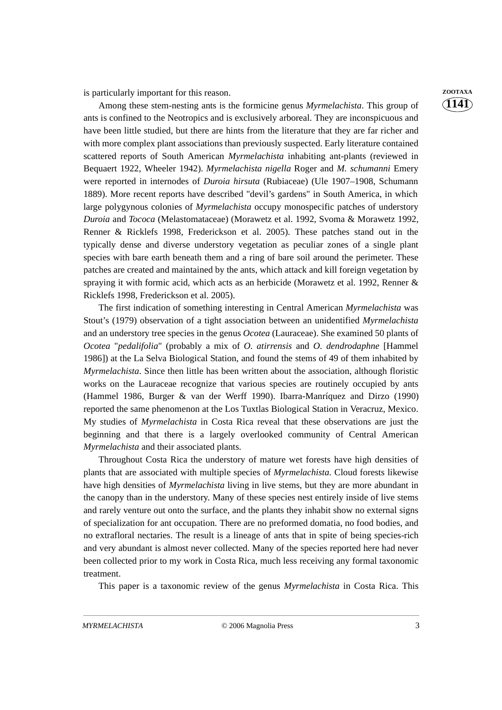is particularly important for this reason. **ZOOTAXA** 

Among these stem-nesting ants is the formicine genus *Myrmelachista*. This group of ants is confined to the Neotropics and is exclusively arboreal. They are inconspicuous and have been little studied, but there are hints from the literature that they are far richer and with more complex plant associations than previously suspected. Early literature contained scattered reports of South American *Myrmelachista* inhabiting ant-plants (reviewed in Bequaert 1922, Wheeler 1942). *Myrmelachista nigella* Roger and *M. schumanni* Emery were reported in internodes of *Duroia hirsuta* (Rubiaceae) (Ule 1907–1908, Schumann 1889). More recent reports have described "devil's gardens" in South America, in which large polygynous colonies of *Myrmelachista* occupy monospecific patches of understory *Duroia* and *Tococa* (Melastomataceae) (Morawetz et al. 1992, Svoma & Morawetz 1992, Renner & Ricklefs 1998, Frederickson et al. 2005). These patches stand out in the typically dense and diverse understory vegetation as peculiar zones of a single plant species with bare earth beneath them and a ring of bare soil around the perimeter. These patches are created and maintained by the ants, which attack and kill foreign vegetation by spraying it with formic acid, which acts as an herbicide (Morawetz et al. 1992, Renner  $\&$ Ricklefs 1998, Frederickson et al. 2005).

The first indication of something interesting in Central American *Myrmelachista* was Stout's (1979) observation of a tight association between an unidentified *Myrmelachista* and an understory tree species in the genus *Ocotea* (Lauraceae). She examined 50 plants of *Ocotea* "*pedalifolia*" (probably a mix of *O. atirrensis* and *O. dendrodaphne* [Hammel 1986]) at the La Selva Biological Station, and found the stems of 49 of them inhabited by *Myrmelachista*. Since then little has been written about the association, although floristic works on the Lauraceae recognize that various species are routinely occupied by ants (Hammel 1986, Burger & van der Werff 1990). Ibarra-Manríquez and Dirzo (1990) reported the same phenomenon at the Los Tuxtlas Biological Station in Veracruz, Mexico. My studies of *Myrmelachista* in Costa Rica reveal that these observations are just the beginning and that there is a largely overlooked community of Central American *Myrmelachista* and their associated plants.

Throughout Costa Rica the understory of mature wet forests have high densities of plants that are associated with multiple species of *Myrmelachista*. Cloud forests likewise have high densities of *Myrmelachista* living in live stems, but they are more abundant in the canopy than in the understory. Many of these species nest entirely inside of live stems and rarely venture out onto the surface, and the plants they inhabit show no external signs of specialization for ant occupation. There are no preformed domatia, no food bodies, and no extrafloral nectaries. The result is a lineage of ants that in spite of being species-rich and very abundant is almost never collected. Many of the species reported here had never been collected prior to my work in Costa Rica, much less receiving any formal taxonomic treatment.

This paper is a taxonomic review of the genus *Myrmelachista* in Costa Rica. This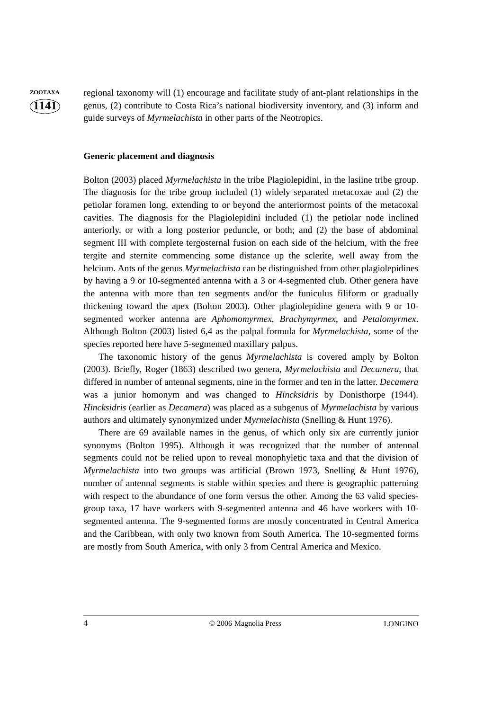**ZOOTAXA** regional taxonomy will (1) encourage and facilitate study of ant-plant relationships in the genus, (2) contribute to Costa Rica's national biodiversity inventory, and (3) inform and guide surveys of *Myrmelachista* in other parts of the Neotropics.

#### **Generic placement and diagnosis**

Bolton (2003) placed *Myrmelachista* in the tribe Plagiolepidini, in the lasiine tribe group. The diagnosis for the tribe group included (1) widely separated metacoxae and (2) the petiolar foramen long, extending to or beyond the anteriormost points of the metacoxal cavities. The diagnosis for the Plagiolepidini included (1) the petiolar node inclined anteriorly, or with a long posterior peduncle, or both; and (2) the base of abdominal segment III with complete tergosternal fusion on each side of the helcium, with the free tergite and sternite commencing some distance up the sclerite, well away from the helcium. Ants of the genus *Myrmelachista* can be distinguished from other plagiolepidines by having a 9 or 10-segmented antenna with a 3 or 4-segmented club. Other genera have the antenna with more than ten segments and/or the funiculus filiform or gradually thickening toward the apex (Bolton 2003). Other plagiolepidine genera with 9 or 10 segmented worker antenna are *Aphomomyrmex*, *Brachymyrmex*, and *Petalomyrmex*. Although Bolton (2003) listed 6,4 as the palpal formula for *Myrmelachista*, some of the species reported here have 5-segmented maxillary palpus.

The taxonomic history of the genus *Myrmelachista* is covered amply by Bolton (2003). Briefly, Roger (1863) described two genera, *Myrmelachista* and *Decamera*, that differed in number of antennal segments, nine in the former and ten in the latter. *Decamera* was a junior homonym and was changed to *Hincksidris* by Donisthorpe (1944). *Hincksidris* (earlier as *Decamera*) was placed as a subgenus of *Myrmelachista* by various authors and ultimately synonymized under *Myrmelachista* (Snelling & Hunt 1976).

There are 69 available names in the genus, of which only six are currently junior synonyms (Bolton 1995). Although it was recognized that the number of antennal segments could not be relied upon to reveal monophyletic taxa and that the division of *Myrmelachista* into two groups was artificial (Brown 1973, Snelling & Hunt 1976), number of antennal segments is stable within species and there is geographic patterning with respect to the abundance of one form versus the other. Among the 63 valid speciesgroup taxa, 17 have workers with 9-segmented antenna and 46 have workers with 10 segmented antenna. The 9-segmented forms are mostly concentrated in Central America and the Caribbean, with only two known from South America. The 10-segmented forms are mostly from South America, with only 3 from Central America and Mexico.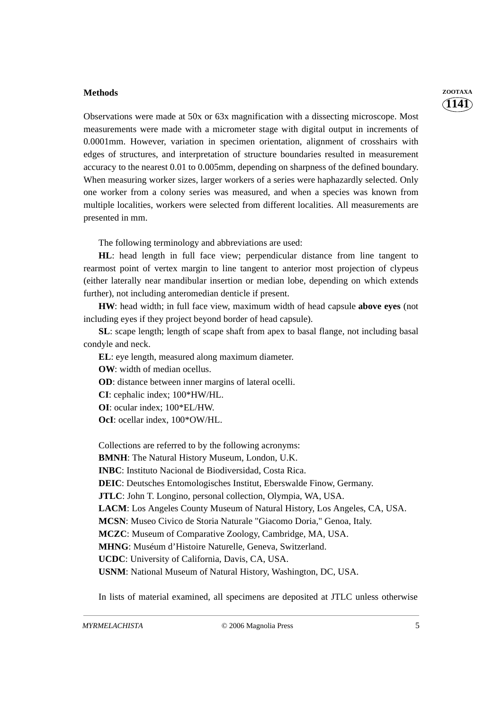#### **Methods ZOOTAXA**

Observations were made at 50x or 63x magnification with a dissecting microscope. Most measurements were made with a micrometer stage with digital output in increments of 0.0001mm. However, variation in specimen orientation, alignment of crosshairs with edges of structures, and interpretation of structure boundaries resulted in measurement accuracy to the nearest 0.01 to 0.005mm, depending on sharpness of the defined boundary. When measuring worker sizes, larger workers of a series were haphazardly selected. Only one worker from a colony series was measured, and when a species was known from multiple localities, workers were selected from different localities. All measurements are presented in mm.

The following terminology and abbreviations are used:

**HL**: head length in full face view; perpendicular distance from line tangent to rearmost point of vertex margin to line tangent to anterior most projection of clypeus (either laterally near mandibular insertion or median lobe, depending on which extends further), not including anteromedian denticle if present.

**HW**: head width; in full face view, maximum width of head capsule **above eyes** (not including eyes if they project beyond border of head capsule).

**SL**: scape length; length of scape shaft from apex to basal flange, not including basal condyle and neck.

**EL**: eye length, measured along maximum diameter.

**OW**: width of median ocellus.

**OD**: distance between inner margins of lateral ocelli.

**CI**: cephalic index; 100\*HW/HL.

**OI**: ocular index; 100\*EL/HW.

**OcI**: ocellar index, 100\*OW/HL.

Collections are referred to by the following acronyms:

**BMNH**: The Natural History Museum, London, U.K.

**INBC**: Instituto Nacional de Biodiversidad, Costa Rica.

**DEIC**: Deutsches Entomologisches Institut, Eberswalde Finow, Germany.

**JTLC**: John T. Longino, personal collection, Olympia, WA, USA.

**LACM**: Los Angeles County Museum of Natural History, Los Angeles, CA, USA.

**MCSN**: Museo Civico de Storia Naturale "Giacomo Doria," Genoa, Italy.

**MCZC**: Museum of Comparative Zoology, Cambridge, MA, USA.

**MHNG**: Muséum d'Histoire Naturelle, Geneva, Switzerland.

**UCDC**: University of California, Davis, CA, USA.

**USNM**: National Museum of Natural History, Washington, DC, USA.

In lists of material examined, all specimens are deposited at JTLC unless otherwise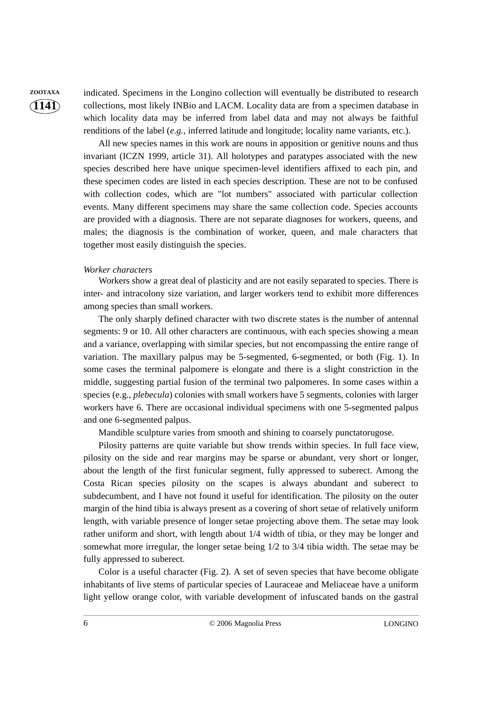**ZOOTAXA** indicated. Specimens in the Longino collection will eventually be distributed to research collections, most likely INBio and LACM. Locality data are from a specimen database in which locality data may be inferred from label data and may not always be faithful renditions of the label (*e.g.*, inferred latitude and longitude; locality name variants, etc.).

> All new species names in this work are nouns in apposition or genitive nouns and thus invariant (ICZN 1999, article 31). All holotypes and paratypes associated with the new species described here have unique specimen-level identifiers affixed to each pin, and these specimen codes are listed in each species description. These are not to be confused with collection codes, which are "lot numbers" associated with particular collection events. Many different specimens may share the same collection code. Species accounts are provided with a diagnosis. There are not separate diagnoses for workers, queens, and males; the diagnosis is the combination of worker, queen, and male characters that together most easily distinguish the species.

#### *Worker characters*

Workers show a great deal of plasticity and are not easily separated to species. There is inter- and intracolony size variation, and larger workers tend to exhibit more differences among species than small workers.

The only sharply defined character with two discrete states is the number of antennal segments: 9 or 10. All other characters are continuous, with each species showing a mean and a variance, overlapping with similar species, but not encompassing the entire range of variation. The maxillary palpus may be 5-segmented, 6-segmented, or both (Fig. 1). In some cases the terminal palpomere is elongate and there is a slight constriction in the middle, suggesting partial fusion of the terminal two palpomeres. In some cases within a species (e.g., *plebecula*) colonies with small workers have 5 segments, colonies with larger workers have 6. There are occasional individual specimens with one 5-segmented palpus and one 6-segmented palpus.

Mandible sculpture varies from smooth and shining to coarsely punctatorugose.

Pilosity patterns are quite variable but show trends within species. In full face view, pilosity on the side and rear margins may be sparse or abundant, very short or longer, about the length of the first funicular segment, fully appressed to suberect. Among the Costa Rican species pilosity on the scapes is always abundant and suberect to subdecumbent, and I have not found it useful for identification. The pilosity on the outer margin of the hind tibia is always present as a covering of short setae of relatively uniform length, with variable presence of longer setae projecting above them. The setae may look rather uniform and short, with length about 1/4 width of tibia, or they may be longer and somewhat more irregular, the longer setae being 1/2 to 3/4 tibia width. The setae may be fully appressed to suberect.

Color is a useful character (Fig. 2). A set of seven species that have become obligate inhabitants of live stems of particular species of Lauraceae and Meliaceae have a uniform light yellow orange color, with variable development of infuscated bands on the gastral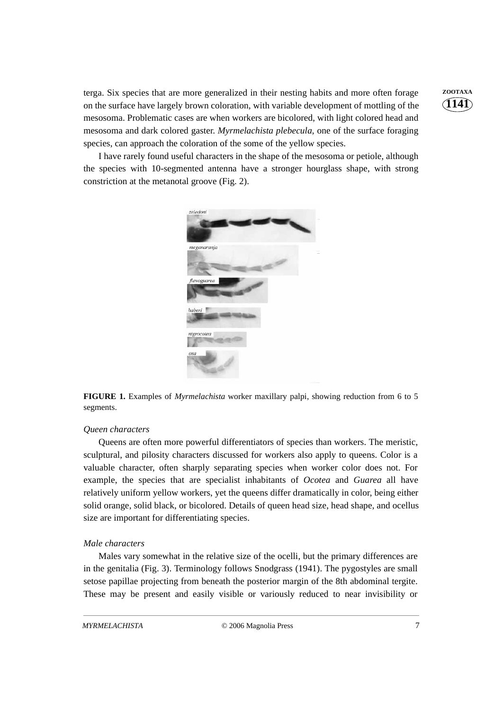terga. Six species that are more generalized in their nesting habits and more often forage **ZOOTAXA** on the surface have largely brown coloration, with variable development of mottling of the mesosoma. Problematic cases are when workers are bicolored, with light colored head and mesosoma and dark colored gaster. *Myrmelachista plebecula*, one of the surface foraging species, can approach the coloration of the some of the yellow species.

I have rarely found useful characters in the shape of the mesosoma or petiole, although the species with 10-segmented antenna have a stronger hourglass shape, with strong constriction at the metanotal groove (Fig. 2).



**FIGURE 1.** Examples of *Myrmelachista* worker maxillary palpi, showing reduction from 6 to 5 segments.

#### *Queen characters*

Queens are often more powerful differentiators of species than workers. The meristic, sculptural, and pilosity characters discussed for workers also apply to queens. Color is a valuable character, often sharply separating species when worker color does not. For example, the species that are specialist inhabitants of *Ocotea* and *Guarea* all have relatively uniform yellow workers, yet the queens differ dramatically in color, being either solid orange, solid black, or bicolored. Details of queen head size, head shape, and ocellus size are important for differentiating species.

#### *Male characters*

Males vary somewhat in the relative size of the ocelli, but the primary differences are in the genitalia (Fig. 3). Terminology follows Snodgrass (1941). The pygostyles are small setose papillae projecting from beneath the posterior margin of the 8th abdominal tergite. These may be present and easily visible or variously reduced to near invisibility or **1141**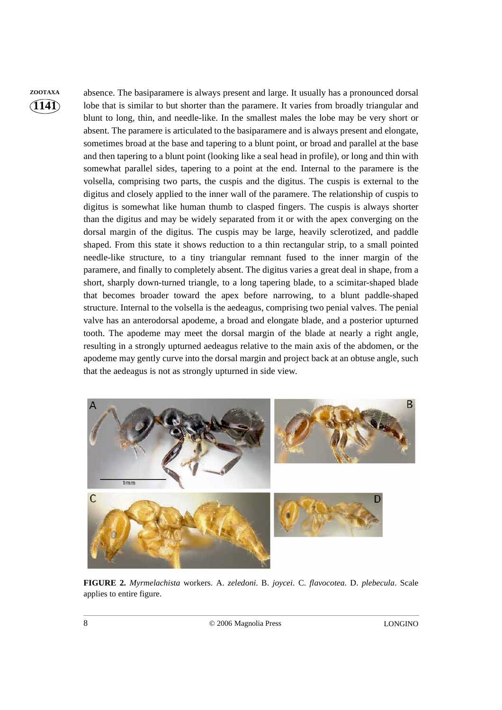**ZOOTAXA** absence. The basiparamere is always present and large. It usually has a pronounced dorsal lobe that is similar to but shorter than the paramere. It varies from broadly triangular and blunt to long, thin, and needle-like. In the smallest males the lobe may be very short or absent. The paramere is articulated to the basiparamere and is always present and elongate, sometimes broad at the base and tapering to a blunt point, or broad and parallel at the base and then tapering to a blunt point (looking like a seal head in profile), or long and thin with somewhat parallel sides, tapering to a point at the end. Internal to the paramere is the volsella, comprising two parts, the cuspis and the digitus. The cuspis is external to the digitus and closely applied to the inner wall of the paramere. The relationship of cuspis to digitus is somewhat like human thumb to clasped fingers. The cuspis is always shorter than the digitus and may be widely separated from it or with the apex converging on the dorsal margin of the digitus. The cuspis may be large, heavily sclerotized, and paddle shaped. From this state it shows reduction to a thin rectangular strip, to a small pointed needle-like structure, to a tiny triangular remnant fused to the inner margin of the paramere, and finally to completely absent. The digitus varies a great deal in shape, from a short, sharply down-turned triangle, to a long tapering blade, to a scimitar-shaped blade that becomes broader toward the apex before narrowing, to a blunt paddle-shaped structure. Internal to the volsella is the aedeagus, comprising two penial valves. The penial valve has an anterodorsal apodeme, a broad and elongate blade, and a posterior upturned tooth. The apodeme may meet the dorsal margin of the blade at nearly a right angle, resulting in a strongly upturned aedeagus relative to the main axis of the abdomen, or the apodeme may gently curve into the dorsal margin and project back at an obtuse angle, such that the aedeagus is not as strongly upturned in side view.



**FIGURE 2.** *Myrmelachista* workers. A. *zeledoni*. B. *joycei*. C. *flavocotea*. D. *plebecula*. Scale applies to entire figure.

8 © 2006Magnolia Press LONGINO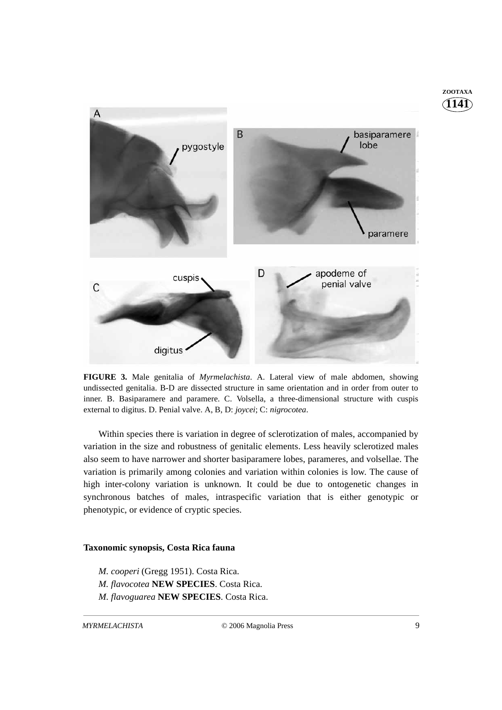

**FIGURE 3.** Male genitalia of *Myrmelachista*. A. Lateral view of male abdomen, showing undissected genitalia. B-D are dissected structure in same orientation and in order from outer to inner. B. Basiparamere and paramere. C. Volsella, a three-dimensional structure with cuspis external to digitus. D. Penial valve. A, B, D: *joycei*; C: *nigrocotea*.

Within species there is variation in degree of sclerotization of males, accompanied by variation in the size and robustness of genitalic elements. Less heavily sclerotized males also seem to have narrower and shorter basiparamere lobes, parameres, and volsellae. The variation is primarily among colonies and variation within colonies is low. The cause of high inter-colony variation is unknown. It could be due to ontogenetic changes in synchronous batches of males, intraspecific variation that is either genotypic or phenotypic, or evidence of cryptic species.

#### **Taxonomic synopsis, Costa Rica fauna**

*M. cooperi* (Gregg 1951). Costa Rica. *M. flavocotea* **NEW SPECIES**. Costa Rica. *M. flavoguarea* **NEW SPECIES**. Costa Rica. **1141 ZOOTAXA**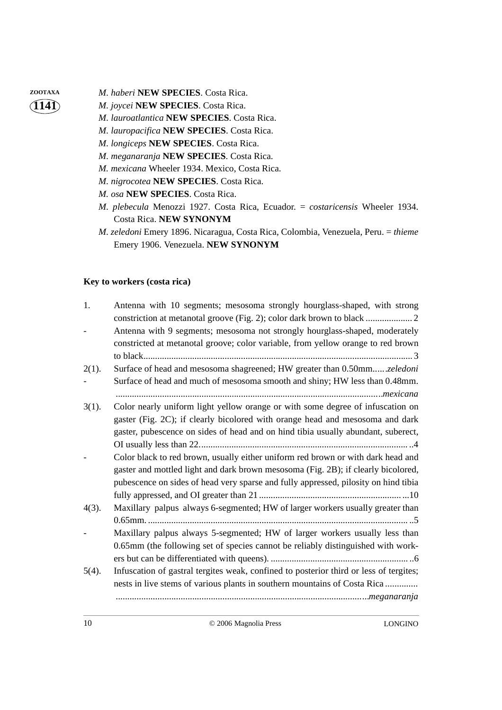- **ZOOTAXA** *M. haberi* **NEW SPECIES**. Costa Rica.
	- *M. joycei* **NEW SPECIES**. Costa Rica.
		- *M. lauroatlantica* **NEW SPECIES**. Costa Rica.
	- *M. lauropacifica* **NEW SPECIES**. Costa Rica.
	- *M. longiceps* **NEW SPECIES**. Costa Rica.
	- *M. meganaranja* **NEW SPECIES**. Costa Rica.
	- *M. mexicana* Wheeler 1934. Mexico, Costa Rica.
	- *M. nigrocotea* **NEW SPECIES**. Costa Rica.
	- *M. osa* **NEW SPECIES**. Costa Rica.
	- *M. plebecula* Menozzi 1927. Costa Rica, Ecuador. = *costaricensis* Wheeler 1934. Costa Rica. **NEW SYNONYM**
	- *M. zeledoni* Emery 1896. Nicaragua, Costa Rica, Colombia, Venezuela, Peru. = *thieme* Emery 1906. Venezuela. **NEW SYNONYM**

# **Key to workers (costa rica)**

| 1.       | Antenna with 10 segments; mesosoma strongly hourglass-shaped, with strong              |
|----------|----------------------------------------------------------------------------------------|
|          | Antenna with 9 segments; mesosoma not strongly hourglass-shaped, moderately            |
|          | constricted at metanotal groove; color variable, from yellow orange to red brown       |
|          |                                                                                        |
| $2(1)$ . | Surface of head and mesosoma shagreened; HW greater than 0.50mmzeledoni                |
|          | Surface of head and much of mesosoma smooth and shiny; HW less than 0.48mm.            |
|          |                                                                                        |
| $3(1)$ . | Color nearly uniform light yellow orange or with some degree of infuscation on         |
|          | gaster (Fig. 2C); if clearly bicolored with orange head and mesosoma and dark          |
|          | gaster, pubescence on sides of head and on hind tibia usually abundant, suberect,      |
|          |                                                                                        |
|          | Color black to red brown, usually either uniform red brown or with dark head and       |
|          | gaster and mottled light and dark brown mesosoma (Fig. 2B); if clearly bicolored,      |
|          | pubescence on sides of head very sparse and fully appressed, pilosity on hind tibia    |
|          |                                                                                        |
| $4(3)$ . | Maxillary palpus always 6-segmented; HW of larger workers usually greater than         |
|          |                                                                                        |
|          | Maxillary palpus always 5-segmented; HW of larger workers usually less than            |
|          | 0.65mm (the following set of species cannot be reliably distinguished with work-       |
|          |                                                                                        |
| $5(4)$ . | Infuscation of gastral tergites weak, confined to posterior third or less of tergites; |
|          | nests in live stems of various plants in southern mountains of Costa Rica              |
|          |                                                                                        |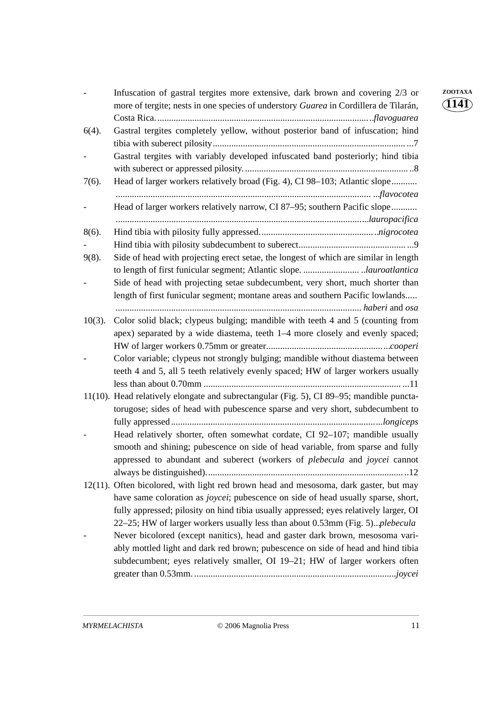|           | Infuscation of gastral tergites more extensive, dark brown and covering 2/3 or<br>more of tergite; nests in one species of understory Guarea in Cordillera de Tilarán,                                                                                                                                                                                      | ZOOTAXA<br>114Ì) |
|-----------|-------------------------------------------------------------------------------------------------------------------------------------------------------------------------------------------------------------------------------------------------------------------------------------------------------------------------------------------------------------|------------------|
| $6(4)$ .  | Gastral tergites completely yellow, without posterior band of infuscation; hind                                                                                                                                                                                                                                                                             |                  |
|           | Gastral tergites with variably developed infuscated band posteriorly; hind tibia                                                                                                                                                                                                                                                                            |                  |
| $7(6)$ .  | Head of larger workers relatively broad (Fig. 4), CI 98-103; Atlantic slope                                                                                                                                                                                                                                                                                 |                  |
|           | Head of larger workers relatively narrow, CI 87-95; southern Pacific slope                                                                                                                                                                                                                                                                                  |                  |
| $8(6)$ .  |                                                                                                                                                                                                                                                                                                                                                             |                  |
| $9(8)$ .  | Side of head with projecting erect setae, the longest of which are similar in length                                                                                                                                                                                                                                                                        |                  |
|           | Side of head with projecting setae subdecumbent, very short, much shorter than<br>length of first funicular segment; montane areas and southern Pacific lowlands                                                                                                                                                                                            |                  |
| $10(3)$ . | Color solid black; clypeus bulging; mandible with teeth 4 and 5 (counting from<br>apex) separated by a wide diastema, teeth 1–4 more closely and evenly spaced;                                                                                                                                                                                             |                  |
|           | Color variable; clypeus not strongly bulging; mandible without diastema between<br>teeth 4 and 5, all 5 teeth relatively evenly spaced; HW of larger workers usually                                                                                                                                                                                        |                  |
|           | 11(10). Head relatively elongate and subrectangular (Fig. 5), CI 89-95; mandible puncta-<br>torugose; sides of head with pubescence sparse and very short, subdecumbent to                                                                                                                                                                                  |                  |
|           | Head relatively shorter, often somewhat cordate, CI 92-107; mandible usually<br>smooth and shining; pubescence on side of head variable, from sparse and fully<br>appressed to abundant and suberect (workers of <i>plebecula</i> and <i>joycei</i> cannot                                                                                                  |                  |
|           | 12(11). Often bicolored, with light red brown head and mesosoma, dark gaster, but may<br>have same coloration as <i>joycei</i> ; pubescence on side of head usually sparse, short,<br>fully appressed; pilosity on hind tibia usually appressed; eyes relatively larger, OI<br>22-25; HW of larger workers usually less than about 0.53mm (Fig. 5)plebecula |                  |
|           | Never bicolored (except nanitics), head and gaster dark brown, mesosoma vari-<br>ably mottled light and dark red brown; pubescence on side of head and hind tibia<br>subdecumbent; eyes relatively smaller, OI 19-21; HW of larger workers often                                                                                                            |                  |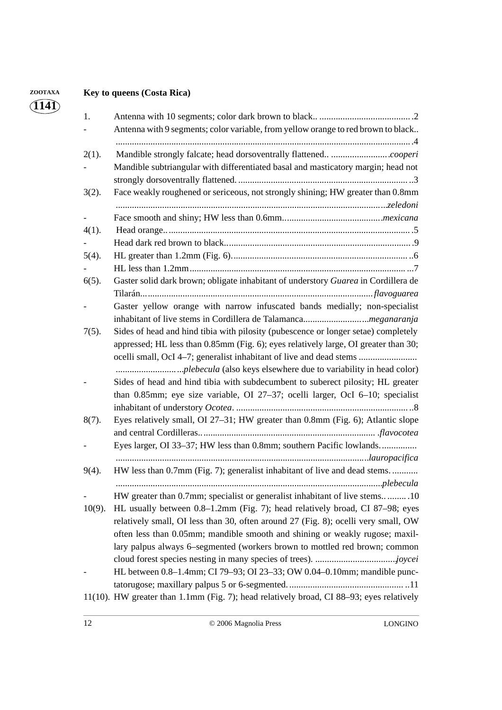# **ZOOTAXA Key to queens (Costa Rica)**

| 1.        |                                                                                          |
|-----------|------------------------------------------------------------------------------------------|
|           | Antenna with 9 segments; color variable, from yellow orange to red brown to black        |
| $2(1)$ .  |                                                                                          |
|           | Mandible subtriangular with differentiated basal and masticatory margin; head not        |
|           |                                                                                          |
| $3(2)$ .  | Face weakly roughened or sericeous, not strongly shining; HW greater than 0.8mm          |
|           |                                                                                          |
| $4(1)$ .  |                                                                                          |
|           |                                                                                          |
| $5(4)$ .  |                                                                                          |
|           |                                                                                          |
|           |                                                                                          |
| $6(5)$ .  | Gaster solid dark brown; obligate inhabitant of understory Guarea in Cordillera de       |
|           |                                                                                          |
|           | Gaster yellow orange with narrow infuscated bands medially; non-specialist               |
|           |                                                                                          |
| $7(5)$ .  | Sides of head and hind tibia with pilosity (pubescence or longer setae) completely       |
|           | appressed; HL less than 0.85mm (Fig. 6); eyes relatively large, OI greater than 30;      |
|           | ocelli small, OcI 4–7; generalist inhabitant of live and dead stems                      |
|           |                                                                                          |
|           | Sides of head and hind tibia with subdecumbent to suberect pilosity; HL greater          |
|           | than 0.85mm; eye size variable, OI 27-37; ocelli larger, OcI 6-10; specialist            |
|           |                                                                                          |
| 8(7).     | Eyes relatively small, OI 27-31; HW greater than 0.8mm (Fig. 6); Atlantic slope          |
|           |                                                                                          |
|           | Eyes larger, OI 33-37; HW less than 0.8mm; southern Pacific lowlands                     |
|           |                                                                                          |
| $9(4)$ .  | HW less than 0.7mm (Fig. 7); generalist inhabitant of live and dead stems                |
|           |                                                                                          |
|           | HW greater than 0.7mm; specialist or generalist inhabitant of live stems10               |
| $10(9)$ . | HL usually between 0.8–1.2mm (Fig. 7); head relatively broad, CI 87–98; eyes             |
|           | relatively small, OI less than 30, often around 27 (Fig. 8); ocelli very small, OW       |
|           | often less than 0.05mm; mandible smooth and shining or weakly rugose; maxil-             |
|           | lary palpus always 6–segmented (workers brown to mottled red brown; common               |
|           |                                                                                          |
|           | HL between 0.8-1.4mm; CI 79-93; OI 23-33; OW 0.04-0.10mm; mandible punc-                 |
|           |                                                                                          |
|           | 11(10). HW greater than 1.1mm (Fig. 7); head relatively broad, CI 88–93; eyes relatively |
|           |                                                                                          |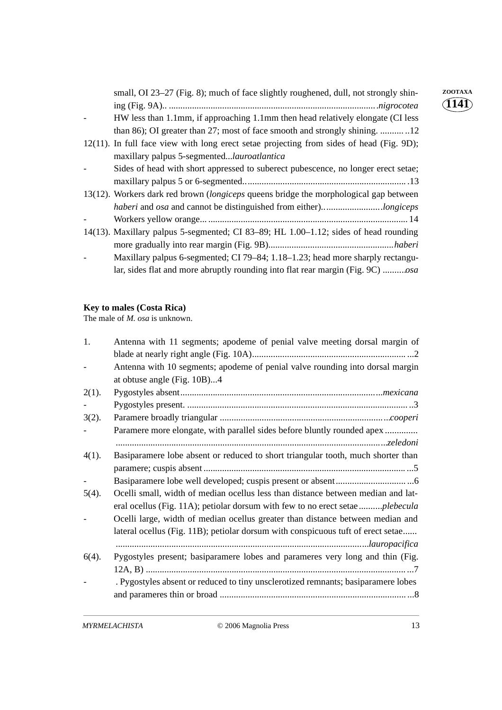| small, OI 23–27 (Fig. 8); much of face slightly roughened, dull, not strongly shin-         | ZOOTAXA<br>141` |
|---------------------------------------------------------------------------------------------|-----------------|
|                                                                                             |                 |
| HW less than 1.1mm, if approaching 1.1mm then head relatively elongate (CI less             |                 |
| than 86); OI greater than 27; most of face smooth and strongly shining. 12                  |                 |
| $12(11)$ . In full face view with long erect setae projecting from sides of head (Fig. 9D); |                 |
| maxillary palpus 5-segmented <i>lauroatlantica</i>                                          |                 |
| Sides of head with short appressed to suberect pubescence, no longer erect setae;           |                 |
|                                                                                             |                 |
| 13(12). Workers dark red brown (longiceps queens bridge the morphological gap between       |                 |
| haberi and osa and cannot be distinguished from either)longiceps                            |                 |
|                                                                                             |                 |
| 14(13). Maxillary palpus 5-segmented; CI 83-89; HL 1.00-1.12; sides of head rounding        |                 |
|                                                                                             |                 |
| Maxillary palpus 6-segmented; CI 79–84; 1.18–1.23; head more sharply rectangu-              |                 |
|                                                                                             |                 |
|                                                                                             |                 |

## **Key to males (Costa Rica)**

The male of *M. osa* is unknown.

| Antenna with 11 segments; apodeme of penial valve meeting dorsal margin of        |
|-----------------------------------------------------------------------------------|
|                                                                                   |
| Antenna with 10 segments; apodeme of penial valve rounding into dorsal margin     |
| at obtuse angle (Fig. 10B)4                                                       |
|                                                                                   |
|                                                                                   |
|                                                                                   |
| Paramere more elongate, with parallel sides before bluntly rounded apex           |
|                                                                                   |
| Basiparamere lobe absent or reduced to short triangular tooth, much shorter than  |
|                                                                                   |
|                                                                                   |
| Ocelli small, width of median ocellus less than distance between median and lat-  |
| eral ocellus (Fig. 11A); petiolar dorsum with few to no erect setaeplebecula      |
| Ocelli large, width of median ocellus greater than distance between median and    |
| lateral ocellus (Fig. 11B); petiolar dorsum with conspicuous tuft of erect setae  |
|                                                                                   |
| Pygostyles present; basiparamere lobes and parameres very long and thin (Fig.     |
|                                                                                   |
| . Pygostyles absent or reduced to tiny unsclerotized remnants; basiparamere lobes |
|                                                                                   |
|                                                                                   |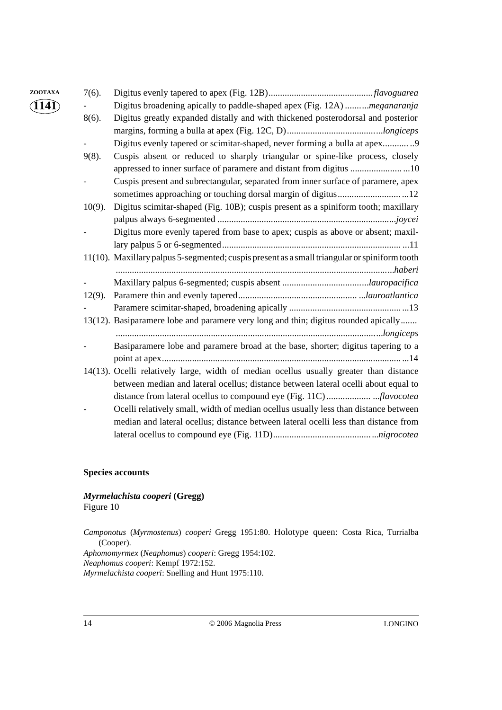| ZOOTAXA                    | $7(6)$ .  |                                                                                               |
|----------------------------|-----------|-----------------------------------------------------------------------------------------------|
| $\widehat{1}14\widehat{1}$ |           | Digitus broadening apically to paddle-shaped apex (Fig. 12A) meganaranja                      |
|                            | 8(6).     | Digitus greatly expanded distally and with thickened posterodorsal and posterior              |
|                            |           |                                                                                               |
|                            |           |                                                                                               |
|                            | $9(8)$ .  | Cuspis absent or reduced to sharply triangular or spine-like process, closely                 |
|                            |           | appressed to inner surface of paramere and distant from digitus 10                            |
|                            |           | Cuspis present and subrectangular, separated from inner surface of paramere, apex             |
|                            |           |                                                                                               |
|                            | $10(9)$ . | Digitus scimitar-shaped (Fig. 10B); cuspis present as a spiniform tooth; maxillary            |
|                            |           |                                                                                               |
|                            |           | Digitus more evenly tapered from base to apex; cuspis as above or absent; maxil-              |
|                            |           |                                                                                               |
|                            |           | 11(10). Maxillary palpus 5-segmented; cuspis present as a small triangular or spiniform tooth |
|                            |           |                                                                                               |
|                            |           |                                                                                               |
|                            | $12(9)$ . |                                                                                               |
|                            |           |                                                                                               |
|                            |           | 13(12). Basiparamere lobe and paramere very long and thin; digitus rounded apically           |
|                            |           |                                                                                               |
|                            |           | Basiparamere lobe and paramere broad at the base, shorter; digitus tapering to a              |
|                            |           |                                                                                               |
|                            |           | 14(13). Ocelli relatively large, width of median ocellus usually greater than distance        |
|                            |           | between median and lateral ocellus; distance between lateral ocelli about equal to            |
|                            |           | distance from lateral ocellus to compound eye (Fig. 11C)flavocotea                            |
|                            |           | Ocelli relatively small, width of median ocellus usually less than distance between           |
|                            |           | median and lateral ocellus; distance between lateral ocelli less than distance from           |
|                            |           |                                                                                               |

### **Species accounts**

### *Myrmelachista cooperi* **(Gregg)** Figure 10

*Camponotus* (*Myrmostenus*) *cooperi* Gregg 1951:80. Holotype queen: Costa Rica, Turrialba (Cooper).

*Aphomomyrmex* (*Neaphomus*) *cooperi*: Gregg 1954:102.

*Neaphomus cooperi*: Kempf 1972:152.

*Myrmelachista cooperi*: Snelling and Hunt 1975:110.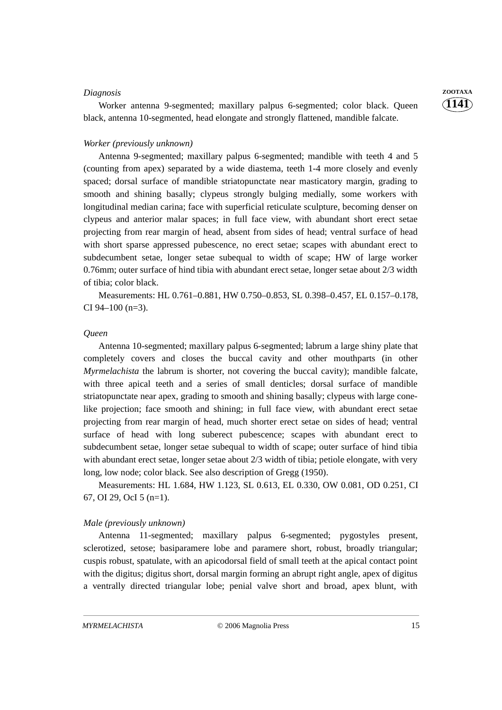#### *Diagnosis* **ZOOTAXA**

Worker antenna 9-segmented; maxillary palpus 6-segmented; color black. Queen black, antenna 10-segmented, head elongate and strongly flattened, mandible falcate.

#### *Worker (previously unknown)*

Antenna 9-segmented; maxillary palpus 6-segmented; mandible with teeth 4 and 5 (counting from apex) separated by a wide diastema, teeth 1-4 more closely and evenly spaced; dorsal surface of mandible striatopunctate near masticatory margin, grading to smooth and shining basally; clypeus strongly bulging medially, some workers with longitudinal median carina; face with superficial reticulate sculpture, becoming denser on clypeus and anterior malar spaces; in full face view, with abundant short erect setae projecting from rear margin of head, absent from sides of head; ventral surface of head with short sparse appressed pubescence, no erect setae; scapes with abundant erect to subdecumbent setae, longer setae subequal to width of scape; HW of large worker 0.76mm; outer surface of hind tibia with abundant erect setae, longer setae about 2/3 width of tibia; color black.

Measurements: HL 0.761–0.881, HW 0.750–0.853, SL 0.398–0.457, EL 0.157–0.178, CI 94–100 (n=3).

#### *Queen*

Antenna 10-segmented; maxillary palpus 6-segmented; labrum a large shiny plate that completely covers and closes the buccal cavity and other mouthparts (in other *Myrmelachista* the labrum is shorter, not covering the buccal cavity); mandible falcate, with three apical teeth and a series of small denticles; dorsal surface of mandible striatopunctate near apex, grading to smooth and shining basally; clypeus with large conelike projection; face smooth and shining; in full face view, with abundant erect setae projecting from rear margin of head, much shorter erect setae on sides of head; ventral surface of head with long suberect pubescence; scapes with abundant erect to subdecumbent setae, longer setae subequal to width of scape; outer surface of hind tibia with abundant erect setae, longer setae about 2/3 width of tibia; petiole elongate, with very long, low node; color black. See also description of Gregg (1950).

Measurements: HL 1.684, HW 1.123, SL 0.613, EL 0.330, OW 0.081, OD 0.251, CI 67, OI 29, OcI 5 (n=1).

#### *Male (previously unknown)*

Antenna 11-segmented; maxillary palpus 6-segmented; pygostyles present, sclerotized, setose; basiparamere lobe and paramere short, robust, broadly triangular; cuspis robust, spatulate, with an apicodorsal field of small teeth at the apical contact point with the digitus; digitus short, dorsal margin forming an abrupt right angle, apex of digitus a ventrally directed triangular lobe; penial valve short and broad, apex blunt, with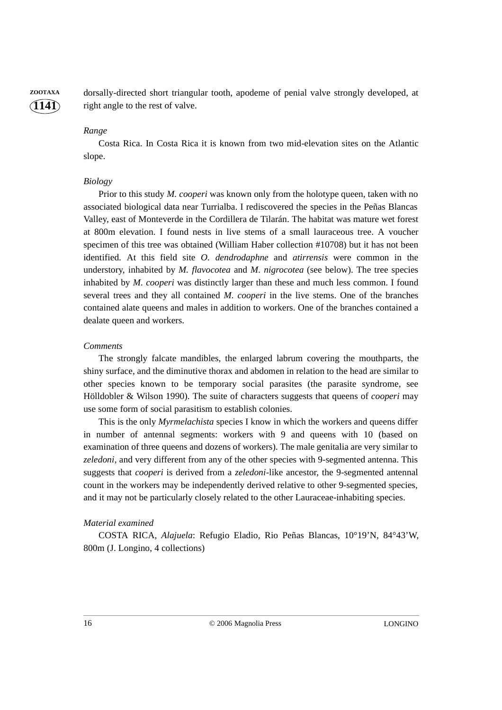**1141 ZOOTAXA** dorsally-directed short triangular tooth, apodeme of penial valve strongly developed, at right angle to the rest of valve.

#### *Range*

Costa Rica. In Costa Rica it is known from two mid-elevation sites on the Atlantic slope.

#### *Biology*

Prior to this study *M. cooperi* was known only from the holotype queen, taken with no associated biological data near Turrialba. I rediscovered the species in the Peñas Blancas Valley, east of Monteverde in the Cordillera de Tilarán. The habitat was mature wet forest at 800m elevation. I found nests in live stems of a small lauraceous tree. A voucher specimen of this tree was obtained (William Haber collection #10708) but it has not been identified. At this field site *O. dendrodaphne* and *atirrensis* were common in the understory, inhabited by *M. flavocotea* and *M. nigrocotea* (see below). The tree species inhabited by *M. cooperi* was distinctly larger than these and much less common. I found several trees and they all contained *M. cooperi* in the live stems. One of the branches contained alate queens and males in addition to workers. One of the branches contained a dealate queen and workers.

#### *Comments*

The strongly falcate mandibles, the enlarged labrum covering the mouthparts, the shiny surface, and the diminutive thorax and abdomen in relation to the head are similar to other species known to be temporary social parasites (the parasite syndrome, see Hölldobler & Wilson 1990). The suite of characters suggests that queens of *cooperi* may use some form of social parasitism to establish colonies.

This is the only *Myrmelachista* species I know in which the workers and queens differ in number of antennal segments: workers with 9 and queens with 10 (based on examination of three queens and dozens of workers). The male genitalia are very similar to *zeledoni*, and very different from any of the other species with 9-segmented antenna. This suggests that *cooperi* is derived from a *zeledoni*-like ancestor, the 9-segmented antennal count in the workers may be independently derived relative to other 9-segmented species, and it may not be particularly closely related to the other Lauraceae-inhabiting species.

#### *Material examined*

COSTA RICA, *Alajuela*: Refugio Eladio, Rio Peñas Blancas, 10°19'N, 84°43'W, 800m (J. Longino, 4 collections)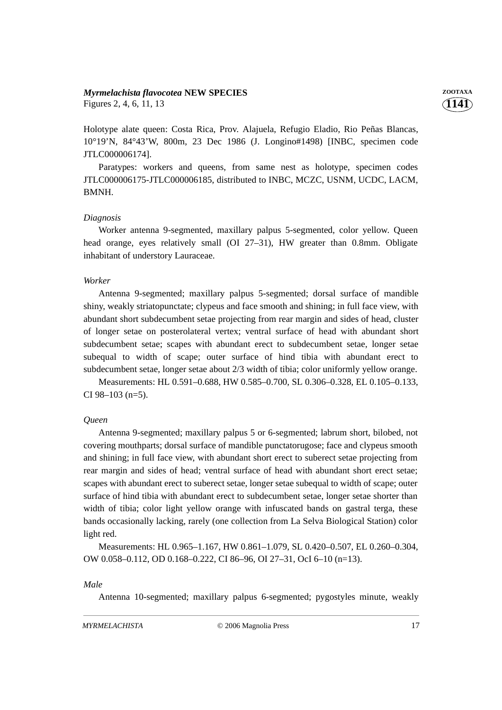#### *Myrmelachista flavocotea* **NEW SPECIES ZOOTAXA**

Figures 2, 4, 6, 11, 13

Holotype alate queen: Costa Rica, Prov. Alajuela, Refugio Eladio, Rio Peñas Blancas, 10°19'N, 84°43'W, 800m, 23 Dec 1986 (J. Longino#1498) [INBC, specimen code JTLC000006174].

Paratypes: workers and queens, from same nest as holotype, specimen codes JTLC000006175-JTLC000006185, distributed to INBC, MCZC, USNM, UCDC, LACM, BMNH.

#### *Diagnosis*

Worker antenna 9-segmented, maxillary palpus 5-segmented, color yellow. Queen head orange, eyes relatively small (OI 27–31), HW greater than 0.8mm. Obligate inhabitant of understory Lauraceae.

### *Worker*

Antenna 9-segmented; maxillary palpus 5-segmented; dorsal surface of mandible shiny, weakly striatopunctate; clypeus and face smooth and shining; in full face view, with abundant short subdecumbent setae projecting from rear margin and sides of head, cluster of longer setae on posterolateral vertex; ventral surface of head with abundant short subdecumbent setae; scapes with abundant erect to subdecumbent setae, longer setae subequal to width of scape; outer surface of hind tibia with abundant erect to subdecumbent setae, longer setae about 2/3 width of tibia; color uniformly yellow orange.

Measurements: HL 0.591–0.688, HW 0.585–0.700, SL 0.306–0.328, EL 0.105–0.133, CI 98–103 (n=5).

# *Queen*

Antenna 9-segmented; maxillary palpus 5 or 6-segmented; labrum short, bilobed, not covering mouthparts; dorsal surface of mandible punctatorugose; face and clypeus smooth and shining; in full face view, with abundant short erect to suberect setae projecting from rear margin and sides of head; ventral surface of head with abundant short erect setae; scapes with abundant erect to suberect setae, longer setae subequal to width of scape; outer surface of hind tibia with abundant erect to subdecumbent setae, longer setae shorter than width of tibia; color light yellow orange with infuscated bands on gastral terga, these bands occasionally lacking, rarely (one collection from La Selva Biological Station) color light red.

Measurements: HL 0.965–1.167, HW 0.861–1.079, SL 0.420–0.507, EL 0.260–0.304, OW 0.058–0.112, OD 0.168–0.222, CI 86–96, OI 27–31, OcI 6–10 (n=13).

#### *Male*

Antenna 10-segmented; maxillary palpus 6-segmented; pygostyles minute, weakly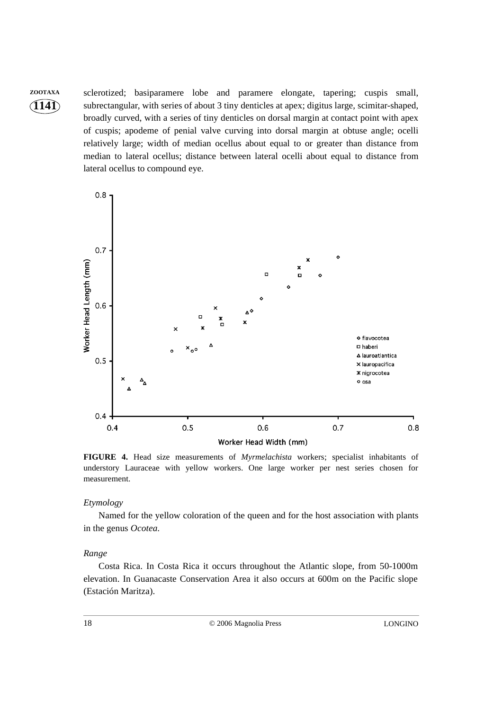**ZOOTAXA** sclerotized; basiparamere lobe and paramere elongate, tapering; cuspis small, subrectangular, with series of about 3 tiny denticles at apex; digitus large, scimitar-shaped, broadly curved, with a series of tiny denticles on dorsal margin at contact point with apex of cuspis; apodeme of penial valve curving into dorsal margin at obtuse angle; ocelli relatively large; width of median ocellus about equal to or greater than distance from median to lateral ocellus; distance between lateral ocelli about equal to distance from lateral ocellus to compound eye.



**FIGURE 4.** Head size measurements of *Myrmelachista* workers; specialist inhabitants of understory Lauraceae with yellow workers. One large worker per nest series chosen for measurement.

#### *Etymology*

**1141**

Named for the yellow coloration of the queen and for the host association with plants in the genus *Ocotea*.

#### *Range*

Costa Rica. In Costa Rica it occurs throughout the Atlantic slope, from 50-1000m elevation. In Guanacaste Conservation Area it also occurs at 600m on the Pacific slope (Estación Maritza).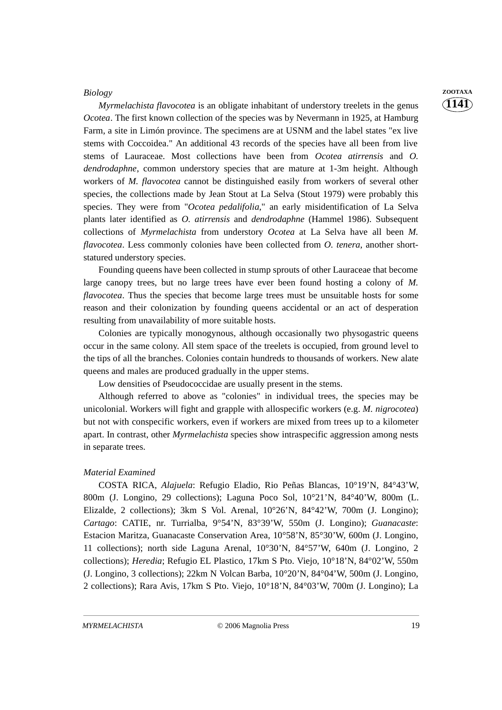*Myrmelachista flavocotea* is an obligate inhabitant of understory treelets in the genus *Ocotea*. The first known collection of the species was by Nevermann in 1925, at Hamburg Farm, a site in Limón province. The specimens are at USNM and the label states "ex live stems with Coccoidea." An additional 43 records of the species have all been from live stems of Lauraceae. Most collections have been from *Ocotea atirrensis* and *O. dendrodaphne*, common understory species that are mature at 1-3m height. Although workers of *M. flavocotea* cannot be distinguished easily from workers of several other species, the collections made by Jean Stout at La Selva (Stout 1979) were probably this species. They were from "*Ocotea pedalifolia*," an early misidentification of La Selva plants later identified as *O. atirrensis* and *dendrodaphne* (Hammel 1986). Subsequent collections of *Myrmelachista* from understory *Ocotea* at La Selva have all been *M. flavocotea*. Less commonly colonies have been collected from *O. tenera*, another shortstatured understory species.

Founding queens have been collected in stump sprouts of other Lauraceae that become large canopy trees, but no large trees have ever been found hosting a colony of *M. flavocotea*. Thus the species that become large trees must be unsuitable hosts for some reason and their colonization by founding queens accidental or an act of desperation resulting from unavailability of more suitable hosts.

Colonies are typically monogynous, although occasionally two physogastric queens occur in the same colony. All stem space of the treelets is occupied, from ground level to the tips of all the branches. Colonies contain hundreds to thousands of workers. New alate queens and males are produced gradually in the upper stems.

Low densities of Pseudococcidae are usually present in the stems.

Although referred to above as "colonies" in individual trees, the species may be unicolonial. Workers will fight and grapple with allospecific workers (e.g. *M. nigrocotea*) but not with conspecific workers, even if workers are mixed from trees up to a kilometer apart. In contrast, other *Myrmelachista* species show intraspecific aggression among nests in separate trees.

#### *Material Examined*

COSTA RICA, *Alajuela*: Refugio Eladio, Rio Peñas Blancas, 10°19'N, 84°43'W, 800m (J. Longino, 29 collections); Laguna Poco Sol, 10°21'N, 84°40'W, 800m (L. Elizalde, 2 collections); 3km S Vol. Arenal,  $10^{\circ}26'N$ ,  $84^{\circ}42'W$ ,  $700m$  (J. Longino); *Cartago*: CATIE, nr. Turrialba, 9°54'N, 83°39'W, 550m (J. Longino); *Guanacaste*: Estacion Maritza, Guanacaste Conservation Area, 10°58'N, 85°30'W, 600m (J. Longino, 11 collections); north side Laguna Arenal, 10°30'N, 84°57'W, 640m (J. Longino, 2 collections); *Heredia*; Refugio EL Plastico, 17km S Pto. Viejo, 10°18'N, 84°02'W, 550m (J. Longino, 3 collections); 22km N Volcan Barba, 10°20'N, 84°04'W, 500m (J. Longino, 2 collections); Rara Avis, 17km S Pto. Viejo, 10°18'N, 84°03'W, 700m (J. Longino); La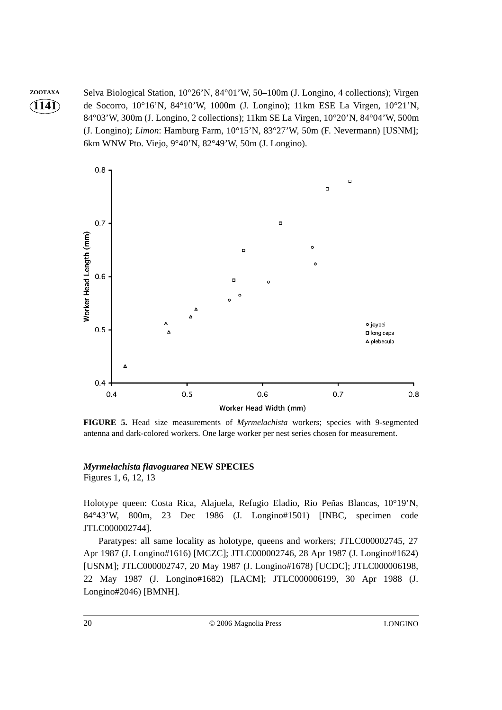**1141 ZOOTAXA** Selva Biological Station, 10°26'N, 84°01'W, 50–100m (J. Longino, 4 collections); Virgen de Socorro, 10°16'N, 84°10'W, 1000m (J. Longino); 11km ESE La Virgen, 10°21'N, 84°03'W, 300m (J. Longino, 2 collections); 11km SE La Virgen, 10°20'N, 84°04'W, 500m (J. Longino); *Limon*: Hamburg Farm, 10°15'N, 83°27'W, 50m (F. Nevermann) [USNM]; 6km WNW Pto. Viejo, 9°40'N, 82°49'W, 50m (J. Longino).



**FIGURE 5.** Head size measurements of *Myrmelachista* workers; species with 9-segmented antenna and dark-colored workers. One large worker per nest series chosen for measurement.

# *Myrmelachista flavoguarea* **NEW SPECIES**

Figures 1, 6, 12, 13

Holotype queen: Costa Rica, Alajuela, Refugio Eladio, Rio Peñas Blancas, 10°19'N, 84°43'W, 800m, 23 Dec 1986 (J. Longino#1501) [INBC, specimen code JTLC000002744].

Paratypes: all same locality as holotype, queens and workers; JTLC000002745, 27 Apr 1987 (J. Longino#1616) [MCZC]; JTLC000002746, 28 Apr 1987 (J. Longino#1624) [USNM]; JTLC000002747, 20 May 1987 (J. Longino#1678) [UCDC]; JTLC000006198, 22 May 1987 (J. Longino#1682) [LACM]; JTLC000006199, 30 Apr 1988 (J. Longino#2046) [BMNH].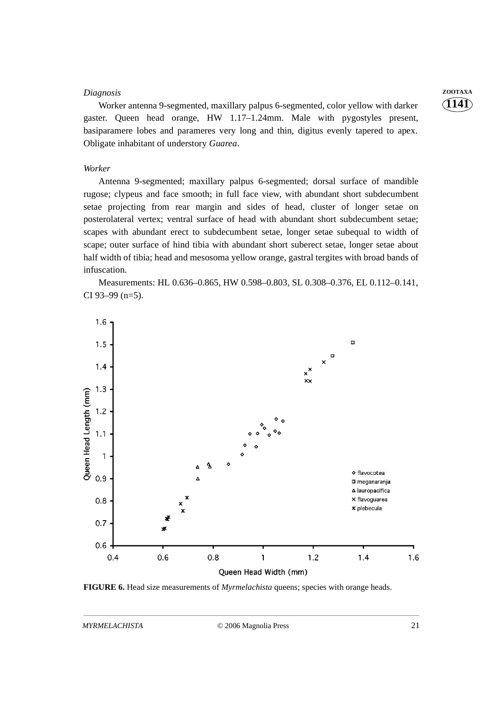#### *Diagnosis* **ZOOTAXA**

Worker antenna 9-segmented, maxillary palpus 6-segmented, color yellow with darker gaster. Queen head orange, HW 1.17–1.24mm. Male with pygostyles present, basiparamere lobes and parameres very long and thin, digitus evenly tapered to apex. Obligate inhabitant of understory *Guarea*.

#### *Worker*

Antenna 9-segmented; maxillary palpus 6-segmented; dorsal surface of mandible rugose; clypeus and face smooth; in full face view, with abundant short subdecumbent setae projecting from rear margin and sides of head, cluster of longer setae on posterolateral vertex; ventral surface of head with abundant short subdecumbent setae; scapes with abundant erect to subdecumbent setae, longer setae subequal to width of scape; outer surface of hind tibia with abundant short suberect setae, longer setae about half width of tibia; head and mesosoma yellow orange, gastral tergites with broad bands of infuscation.

Measurements: HL 0.636–0.865, HW 0.598–0.803, SL 0.308–0.376, EL 0.112–0.141, CI 93–99 (n=5).



**FIGURE 6.** Head size measurements of *Myrmelachista* queens; species with orange heads.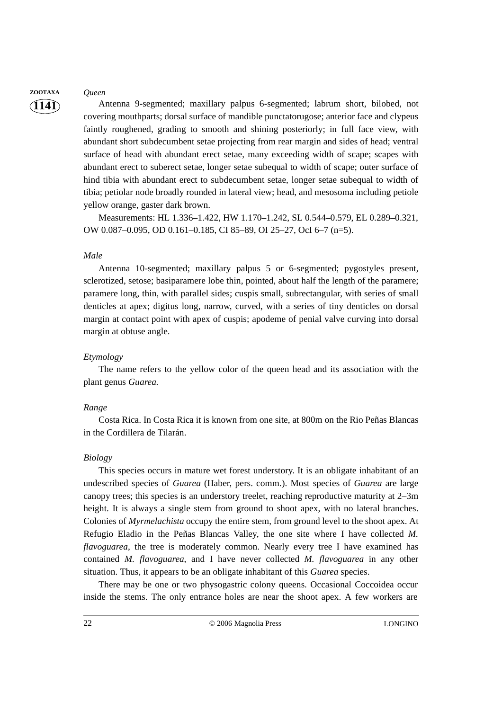# **ZOOTAXA** *Queen*

**1141**

Antenna 9-segmented; maxillary palpus 6-segmented; labrum short, bilobed, not covering mouthparts; dorsal surface of mandible punctatorugose; anterior face and clypeus faintly roughened, grading to smooth and shining posteriorly; in full face view, with abundant short subdecumbent setae projecting from rear margin and sides of head; ventral surface of head with abundant erect setae, many exceeding width of scape; scapes with abundant erect to suberect setae, longer setae subequal to width of scape; outer surface of hind tibia with abundant erect to subdecumbent setae, longer setae subequal to width of tibia; petiolar node broadly rounded in lateral view; head, and mesosoma including petiole yellow orange, gaster dark brown.

Measurements: HL 1.336–1.422, HW 1.170–1.242, SL 0.544–0.579, EL 0.289–0.321, OW 0.087–0.095, OD 0.161–0.185, CI 85–89, OI 25–27, OcI 6–7 (n=5).

#### *Male*

Antenna 10-segmented; maxillary palpus 5 or 6-segmented; pygostyles present, sclerotized, setose; basiparamere lobe thin, pointed, about half the length of the paramere; paramere long, thin, with parallel sides; cuspis small, subrectangular, with series of small denticles at apex; digitus long, narrow, curved, with a series of tiny denticles on dorsal margin at contact point with apex of cuspis; apodeme of penial valve curving into dorsal margin at obtuse angle.

#### *Etymology*

The name refers to the yellow color of the queen head and its association with the plant genus *Guarea.*

#### *Range*

Costa Rica. In Costa Rica it is known from one site, at 800m on the Rio Peñas Blancas in the Cordillera de Tilarán.

#### *Biology*

This species occurs in mature wet forest understory. It is an obligate inhabitant of an undescribed species of *Guarea* (Haber, pers. comm.). Most species of *Guarea* are large canopy trees; this species is an understory treelet, reaching reproductive maturity at 2–3m height. It is always a single stem from ground to shoot apex, with no lateral branches. Colonies of *Myrmelachista* occupy the entire stem, from ground level to the shoot apex. At Refugio Eladio in the Peñas Blancas Valley, the one site where I have collected *M. flavoguarea*, the tree is moderately common. Nearly every tree I have examined has contained *M. flavoguarea*, and I have never collected *M. flavoguarea* in any other situation. Thus, it appears to be an obligate inhabitant of this *Guarea* species.

There may be one or two physogastric colony queens. Occasional Coccoidea occur inside the stems. The only entrance holes are near the shoot apex. A few workers are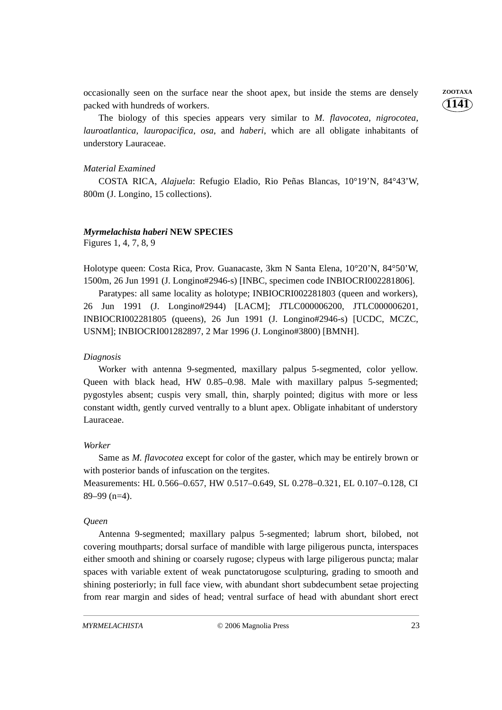occasionally seen on the surface near the shoot apex, but inside the stems are densely **ZOOTAXA** packed with hundreds of workers.

The biology of this species appears very similar to *M. flavocotea*, *nigrocotea*, *lauroatlantica*, *lauropacifica*, *osa*, and *haberi*, which are all obligate inhabitants of understory Lauraceae.

#### *Material Examined*

COSTA RICA, *Alajuela*: Refugio Eladio, Rio Peñas Blancas, 10°19'N, 84°43'W, 800m (J. Longino, 15 collections).

#### *Myrmelachista haberi* **NEW SPECIES**

Figures 1, 4, 7, 8, 9

Holotype queen: Costa Rica, Prov. Guanacaste, 3km N Santa Elena, 10°20'N, 84°50'W, 1500m, 26 Jun 1991 (J. Longino#2946-s) [INBC, specimen code INBIOCRI002281806].

Paratypes: all same locality as holotype; INBIOCRI002281803 (queen and workers), 26 Jun 1991 (J. Longino#2944) [LACM]; JTLC000006200, JTLC000006201, INBIOCRI002281805 (queens), 26 Jun 1991 (J. Longino#2946-s) [UCDC, MCZC, USNM]; INBIOCRI001282897, 2 Mar 1996 (J. Longino#3800) [BMNH].

#### *Diagnosis*

Worker with antenna 9-segmented, maxillary palpus 5-segmented, color yellow. Queen with black head, HW 0.85–0.98. Male with maxillary palpus 5-segmented; pygostyles absent; cuspis very small, thin, sharply pointed; digitus with more or less constant width, gently curved ventrally to a blunt apex. Obligate inhabitant of understory Lauraceae.

#### *Worker*

Same as *M. flavocotea* except for color of the gaster, which may be entirely brown or with posterior bands of infuscation on the tergites.

Measurements: HL 0.566–0.657, HW 0.517–0.649, SL 0.278–0.321, EL 0.107–0.128, CI 89–99 (n=4).

#### *Queen*

Antenna 9-segmented; maxillary palpus 5-segmented; labrum short, bilobed, not covering mouthparts; dorsal surface of mandible with large piligerous puncta, interspaces either smooth and shining or coarsely rugose; clypeus with large piligerous puncta; malar spaces with variable extent of weak punctatorugose sculpturing, grading to smooth and shining posteriorly; in full face view, with abundant short subdecumbent setae projecting from rear margin and sides of head; ventral surface of head with abundant short erect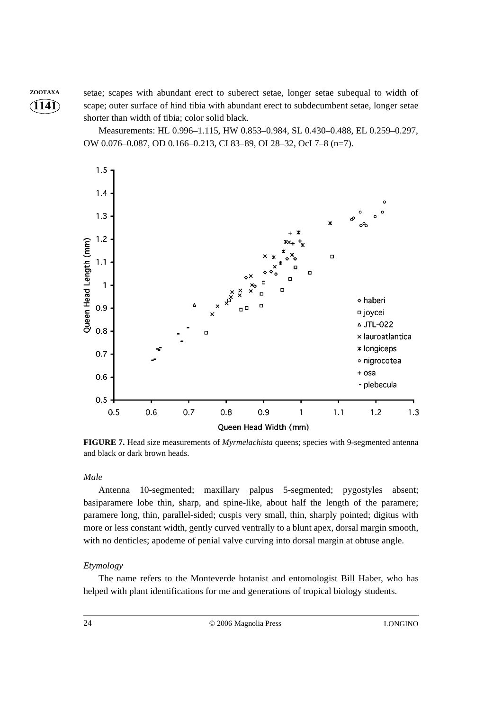**ZOOTAXA** setae; scapes with abundant erect to suberect setae, longer setae subequal to width of scape; outer surface of hind tibia with abundant erect to subdecumbent setae, longer setae shorter than width of tibia; color solid black.

> Measurements: HL 0.996–1.115, HW 0.853–0.984, SL 0.430–0.488, EL 0.259–0.297, OW 0.076–0.087, OD 0.166–0.213, CI 83–89, OI 28–32, OcI 7–8 (n=7).



**FIGURE 7.** Head size measurements of *Myrmelachista* queens; species with 9-segmented antenna and black or dark brown heads.

*Male*

**1141**

Antenna 10-segmented; maxillary palpus 5-segmented; pygostyles absent; basiparamere lobe thin, sharp, and spine-like, about half the length of the paramere; paramere long, thin, parallel-sided; cuspis very small, thin, sharply pointed; digitus with more or less constant width, gently curved ventrally to a blunt apex, dorsal margin smooth, with no denticles; apodeme of penial valve curving into dorsal margin at obtuse angle.

#### *Etymology*

The name refers to the Monteverde botanist and entomologist Bill Haber, who has helped with plant identifications for me and generations of tropical biology students.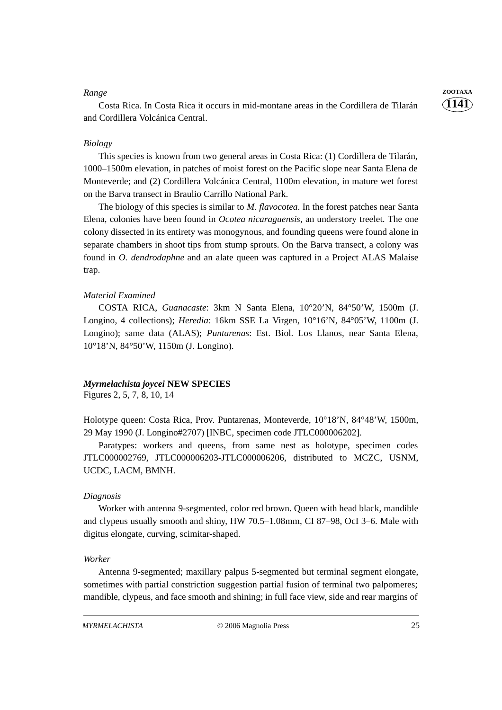Costa Rica. In Costa Rica it occurs in mid-montane areas in the Cordillera de Tilarán and Cordillera Volcánica Central.

#### *Biology*

This species is known from two general areas in Costa Rica: (1) Cordillera de Tilarán, 1000–1500m elevation, in patches of moist forest on the Pacific slope near Santa Elena de Monteverde; and (2) Cordillera Volcánica Central, 1100m elevation, in mature wet forest on the Barva transect in Braulio Carrillo National Park.

The biology of this species is similar to *M. flavocotea*. In the forest patches near Santa Elena, colonies have been found in *Ocotea nicaraguensis*, an understory treelet. The one colony dissected in its entirety was monogynous, and founding queens were found alone in separate chambers in shoot tips from stump sprouts. On the Barva transect, a colony was found in *O. dendrodaphne* and an alate queen was captured in a Project ALAS Malaise trap.

#### *Material Examined*

COSTA RICA, *Guanacaste*: 3km N Santa Elena, 10°20'N, 84°50'W, 1500m (J. Longino, 4 collections); *Heredia*: 16km SSE La Virgen, 10°16'N, 84°05'W, 1100m (J. Longino); same data (ALAS); *Puntarenas*: Est. Biol. Los Llanos, near Santa Elena, 10°18'N, 84°50'W, 1150m (J. Longino).

#### *Myrmelachista joycei* **NEW SPECIES**

Figures 2, 5, 7, 8, 10, 14

Holotype queen: Costa Rica, Prov. Puntarenas, Monteverde, 10°18'N, 84°48'W, 1500m, 29 May 1990 (J. Longino#2707) [INBC, specimen code JTLC000006202].

Paratypes: workers and queens, from same nest as holotype, specimen codes JTLC000002769, JTLC000006203-JTLC000006206, distributed to MCZC, USNM, UCDC, LACM, BMNH.

#### *Diagnosis*

Worker with antenna 9-segmented, color red brown. Queen with head black, mandible and clypeus usually smooth and shiny, HW 70.5–1.08mm, CI 87–98, OcI 3–6. Male with digitus elongate, curving, scimitar-shaped.

#### *Worker*

Antenna 9-segmented; maxillary palpus 5-segmented but terminal segment elongate, sometimes with partial constriction suggestion partial fusion of terminal two palpomeres; mandible, clypeus, and face smooth and shining; in full face view, side and rear margins of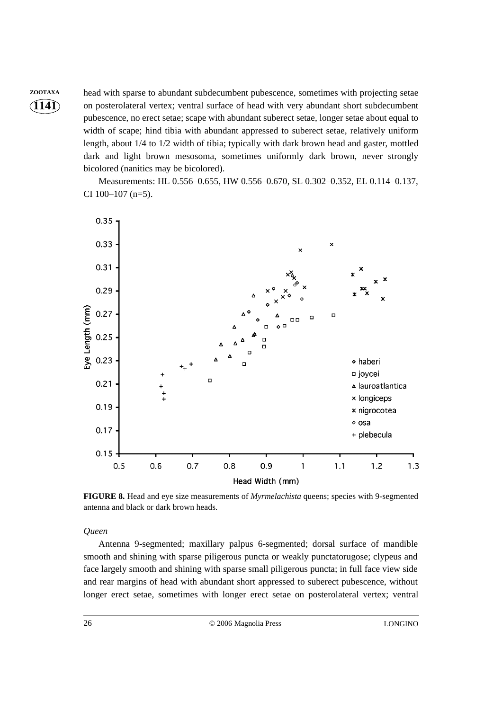**ZOOTAXA** head with sparse to abundant subdecumbent pubescence, sometimes with projecting setae on posterolateral vertex; ventral surface of head with very abundant short subdecumbent pubescence, no erect setae; scape with abundant suberect setae, longer setae about equal to width of scape; hind tibia with abundant appressed to suberect setae, relatively uniform length, about 1/4 to 1/2 width of tibia; typically with dark brown head and gaster, mottled dark and light brown mesosoma, sometimes uniformly dark brown, never strongly bicolored (nanitics may be bicolored).

> Measurements: HL 0.556–0.655, HW 0.556–0.670, SL 0.302–0.352, EL 0.114–0.137, CI 100–107 (n=5).



**FIGURE 8.** Head and eye size measurements of *Myrmelachista* queens; species with 9-segmented antenna and black or dark brown heads.

#### *Queen*

Antenna 9-segmented; maxillary palpus 6-segmented; dorsal surface of mandible smooth and shining with sparse piligerous puncta or weakly punctatorugose; clypeus and face largely smooth and shining with sparse small piligerous puncta; in full face view side and rear margins of head with abundant short appressed to suberect pubescence, without longer erect setae, sometimes with longer erect setae on posterolateral vertex; ventral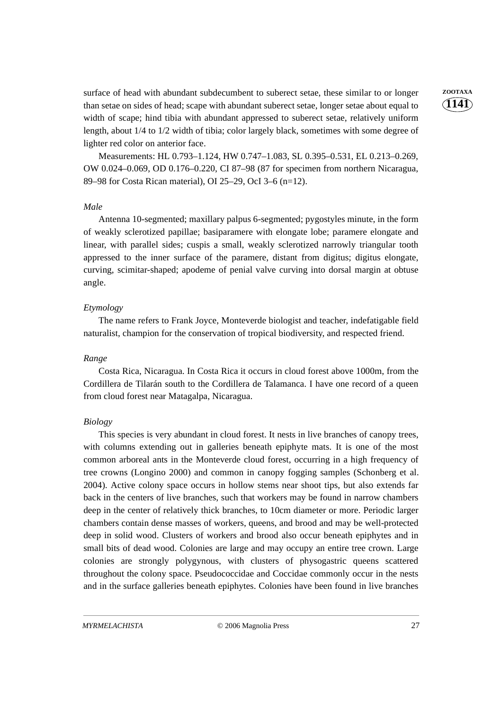surface of head with abundant subdecumbent to suberect setae, these similar to or longer **ZOOTAXA** than setae on sides of head; scape with abundant suberect setae, longer setae about equal to width of scape; hind tibia with abundant appressed to suberect setae, relatively uniform length, about 1/4 to 1/2 width of tibia; color largely black, sometimes with some degree of lighter red color on anterior face.

Measurements: HL 0.793–1.124, HW 0.747–1.083, SL 0.395–0.531, EL 0.213–0.269, OW 0.024–0.069, OD 0.176–0.220, CI 87–98 (87 for specimen from northern Nicaragua, 89–98 for Costa Rican material), OI 25–29, OcI 3–6 (n=12).

#### *Male*

Antenna 10-segmented; maxillary palpus 6-segmented; pygostyles minute, in the form of weakly sclerotized papillae; basiparamere with elongate lobe; paramere elongate and linear, with parallel sides; cuspis a small, weakly sclerotized narrowly triangular tooth appressed to the inner surface of the paramere, distant from digitus; digitus elongate, curving, scimitar-shaped; apodeme of penial valve curving into dorsal margin at obtuse angle.

#### *Etymology*

The name refers to Frank Joyce, Monteverde biologist and teacher, indefatigable field naturalist, champion for the conservation of tropical biodiversity, and respected friend.

#### *Range*

Costa Rica, Nicaragua. In Costa Rica it occurs in cloud forest above 1000m, from the Cordillera de Tilarán south to the Cordillera de Talamanca. I have one record of a queen from cloud forest near Matagalpa, Nicaragua.

#### *Biology*

This species is very abundant in cloud forest. It nests in live branches of canopy trees, with columns extending out in galleries beneath epiphyte mats. It is one of the most common arboreal ants in the Monteverde cloud forest, occurring in a high frequency of tree crowns (Longino 2000) and common in canopy fogging samples (Schonberg et al. 2004). Active colony space occurs in hollow stems near shoot tips, but also extends far back in the centers of live branches, such that workers may be found in narrow chambers deep in the center of relatively thick branches, to 10cm diameter or more. Periodic larger chambers contain dense masses of workers, queens, and brood and may be well-protected deep in solid wood. Clusters of workers and brood also occur beneath epiphytes and in small bits of dead wood. Colonies are large and may occupy an entire tree crown. Large colonies are strongly polygynous, with clusters of physogastric queens scattered throughout the colony space. Pseudococcidae and Coccidae commonly occur in the nests and in the surface galleries beneath epiphytes. Colonies have been found in live branches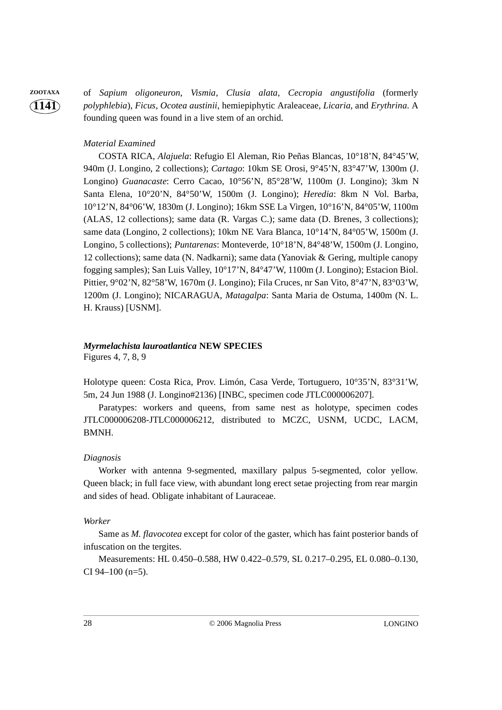**ZOOTAXA** of *Sapium oligoneuron*, *Vismia*, *Clusia alata*, *Cecropia angustifolia* (formerly *polyphlebia*), *Ficus*, *Ocotea austinii*, hemiepiphytic Araleaceae, *Licaria*, and *Erythrina*. A founding queen was found in a live stem of an orchid.

#### *Material Examined*

COSTA RICA, *Alajuela*: Refugio El Aleman, Rio Peñas Blancas, 10°18'N, 84°45'W, 940m (J. Longino, 2 collections); *Cartago*: 10km SE Orosi, 9°45'N, 83°47'W, 1300m (J. Longino) *Guanacaste*: Cerro Cacao, 10°56'N, 85°28'W, 1100m (J. Longino); 3km N Santa Elena, 10°20'N, 84°50'W, 1500m (J. Longino); *Heredia*: 8km N Vol. Barba, 10°12'N, 84°06'W, 1830m (J. Longino); 16km SSE La Virgen, 10°16'N, 84°05'W, 1100m (ALAS, 12 collections); same data (R. Vargas C.); same data (D. Brenes, 3 collections); same data (Longino, 2 collections); 10km NE Vara Blanca, 10°14'N, 84°05'W, 1500m (J. Longino, 5 collections); *Puntarenas*: Monteverde, 10°18'N, 84°48'W, 1500m (J. Longino, 12 collections); same data (N. Nadkarni); same data (Yanoviak & Gering, multiple canopy fogging samples); San Luis Valley, 10°17'N, 84°47'W, 1100m (J. Longino); Estacion Biol. Pittier, 9°02'N, 82°58'W, 1670m (J. Longino); Fila Cruces, nr San Vito, 8°47'N, 83°03'W, 1200m (J. Longino); NICARAGUA, *Matagalpa*: Santa Maria de Ostuma, 1400m (N. L. H. Krauss) [USNM].

# *Myrmelachista lauroatlantica* **NEW SPECIES**

Figures 4, 7, 8, 9

Holotype queen: Costa Rica, Prov. Limón, Casa Verde, Tortuguero, 10°35'N, 83°31'W, 5m, 24 Jun 1988 (J. Longino#2136) [INBC, specimen code JTLC000006207].

Paratypes: workers and queens, from same nest as holotype, specimen codes JTLC000006208-JTLC000006212, distributed to MCZC, USNM, UCDC, LACM, BMNH.

#### *Diagnosis*

Worker with antenna 9-segmented, maxillary palpus 5-segmented, color yellow. Queen black; in full face view, with abundant long erect setae projecting from rear margin and sides of head. Obligate inhabitant of Lauraceae.

#### *Worker*

Same as *M. flavocotea* except for color of the gaster, which has faint posterior bands of infuscation on the tergites.

Measurements: HL 0.450–0.588, HW 0.422–0.579, SL 0.217–0.295, EL 0.080–0.130, CI 94–100 (n=5).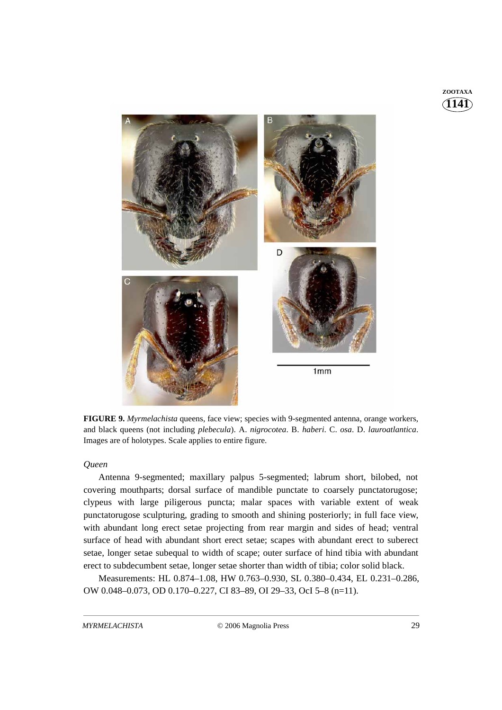# **1141 ZOOTAXA**



**FIGURE 9.** *Myrmelachista* queens, face view; species with 9-segmented antenna, orange workers, and black queens (not including *plebecula*). A. *nigrocotea*. B. *haberi*. C. *osa*. D. *lauroatlantica*. Images are of holotypes. Scale applies to entire figure.

#### *Queen*

Antenna 9-segmented; maxillary palpus 5-segmented; labrum short, bilobed, not covering mouthparts; dorsal surface of mandible punctate to coarsely punctatorugose; clypeus with large piligerous puncta; malar spaces with variable extent of weak punctatorugose sculpturing, grading to smooth and shining posteriorly; in full face view, with abundant long erect setae projecting from rear margin and sides of head; ventral surface of head with abundant short erect setae; scapes with abundant erect to suberect setae, longer setae subequal to width of scape; outer surface of hind tibia with abundant erect to subdecumbent setae, longer setae shorter than width of tibia; color solid black.

Measurements: HL 0.874–1.08, HW 0.763–0.930, SL 0.380–0.434, EL 0.231–0.286, OW 0.048–0.073, OD 0.170–0.227, CI 83–89, OI 29–33, OcI 5–8 (n=11).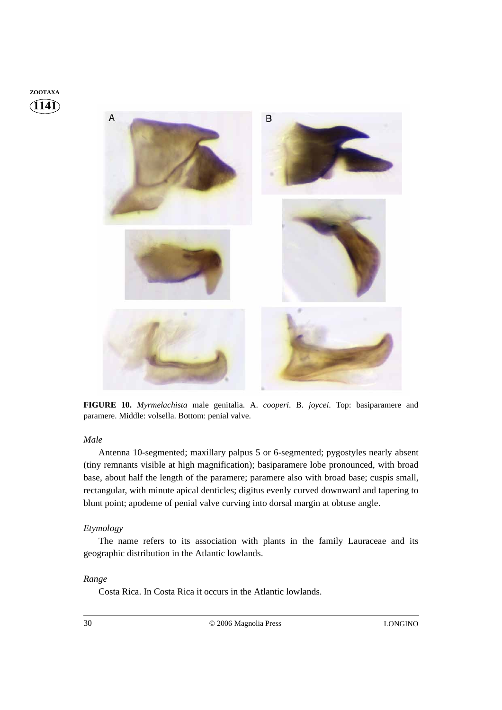



**FIGURE 10.** *Myrmelachista* male genitalia. A. *cooperi*. B. *joycei*. Top: basiparamere and paramere. Middle: volsella. Bottom: penial valve.

### *Male*

Antenna 10-segmented; maxillary palpus 5 or 6-segmented; pygostyles nearly absent (tiny remnants visible at high magnification); basiparamere lobe pronounced, with broad base, about half the length of the paramere; paramere also with broad base; cuspis small, rectangular, with minute apical denticles; digitus evenly curved downward and tapering to blunt point; apodeme of penial valve curving into dorsal margin at obtuse angle.

#### *Etymology*

The name refers to its association with plants in the family Lauraceae and its geographic distribution in the Atlantic lowlands.

### *Range*

Costa Rica. In Costa Rica it occurs in the Atlantic lowlands.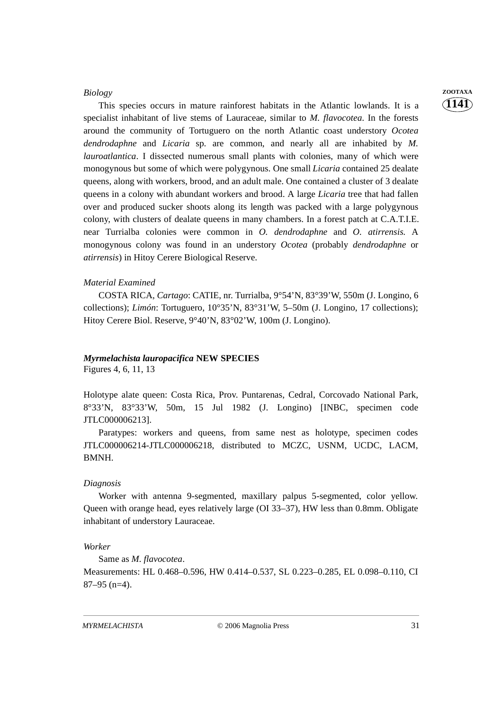#### *Biology* **ZOOTAXA**

This species occurs in mature rainforest habitats in the Atlantic lowlands. It is a specialist inhabitant of live stems of Lauraceae, similar to *M. flavocotea*. In the forests around the community of Tortuguero on the north Atlantic coast understory *Ocotea dendrodaphne* and *Licaria* sp. are common, and nearly all are inhabited by *M. lauroatlantica*. I dissected numerous small plants with colonies, many of which were monogynous but some of which were polygynous. One small *Licaria* contained 25 dealate queens, along with workers, brood, and an adult male. One contained a cluster of 3 dealate queens in a colony with abundant workers and brood. A large *Licaria* tree that had fallen over and produced sucker shoots along its length was packed with a large polygynous colony, with clusters of dealate queens in many chambers. In a forest patch at C.A.T.I.E. near Turrialba colonies were common in *O. dendrodaphne* and *O. atirrensis*. A monogynous colony was found in an understory *Ocotea* (probably *dendrodaphne* or *atirrensis*) in Hitoy Cerere Biological Reserve.

#### *Material Examined*

COSTA RICA, *Cartago*: CATIE, nr. Turrialba, 9°54'N, 83°39'W, 550m (J. Longino, 6 collections); *Limón*: Tortuguero, 10°35'N, 83°31'W, 5–50m (J. Longino, 17 collections); Hitoy Cerere Biol. Reserve, 9°40'N, 83°02'W, 100m (J. Longino).

# *Myrmelachista lauropacifica* **NEW SPECIES**

Figures 4, 6, 11, 13

Holotype alate queen: Costa Rica, Prov. Puntarenas, Cedral, Corcovado National Park, 8°33'N, 83°33'W, 50m, 15 Jul 1982 (J. Longino) [INBC, specimen code JTLC000006213].

Paratypes: workers and queens, from same nest as holotype, specimen codes JTLC000006214-JTLC000006218, distributed to MCZC, USNM, UCDC, LACM, BMNH.

#### *Diagnosis*

Worker with antenna 9-segmented, maxillary palpus 5-segmented, color yellow. Queen with orange head, eyes relatively large (OI 33–37), HW less than 0.8mm. Obligate inhabitant of understory Lauraceae.

#### *Worker*

Same as *M. flavocotea*.

Measurements: HL 0.468–0.596, HW 0.414–0.537, SL 0.223–0.285, EL 0.098–0.110, CI 87–95 (n=4).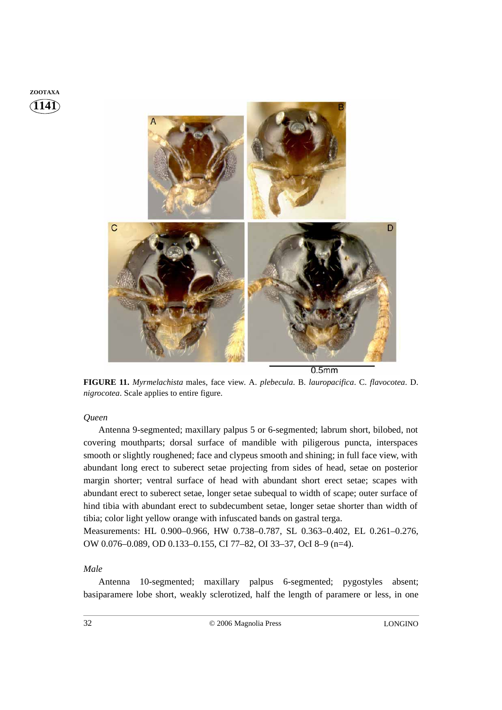



 $0.5<sub>mm</sub>$ 

**FIGURE 11.** *Myrmelachista* males, face view. A. *plebecula*. B. *lauropacifica*. C. *flavocotea*. D. *nigrocotea*. Scale applies to entire figure.

#### *Queen*

Antenna 9-segmented; maxillary palpus 5 or 6-segmented; labrum short, bilobed, not covering mouthparts; dorsal surface of mandible with piligerous puncta, interspaces smooth or slightly roughened; face and clypeus smooth and shining; in full face view, with abundant long erect to suberect setae projecting from sides of head, setae on posterior margin shorter; ventral surface of head with abundant short erect setae; scapes with abundant erect to suberect setae, longer setae subequal to width of scape; outer surface of hind tibia with abundant erect to subdecumbent setae, longer setae shorter than width of tibia; color light yellow orange with infuscated bands on gastral terga.

Measurements: HL 0.900–0.966, HW 0.738–0.787, SL 0.363–0.402, EL 0.261–0.276, OW 0.076–0.089, OD 0.133–0.155, CI 77–82, OI 33–37, OcI 8–9 (n=4).

#### *Male*

Antenna 10-segmented; maxillary palpus 6-segmented; pygostyles absent; basiparamere lobe short, weakly sclerotized, half the length of paramere or less, in one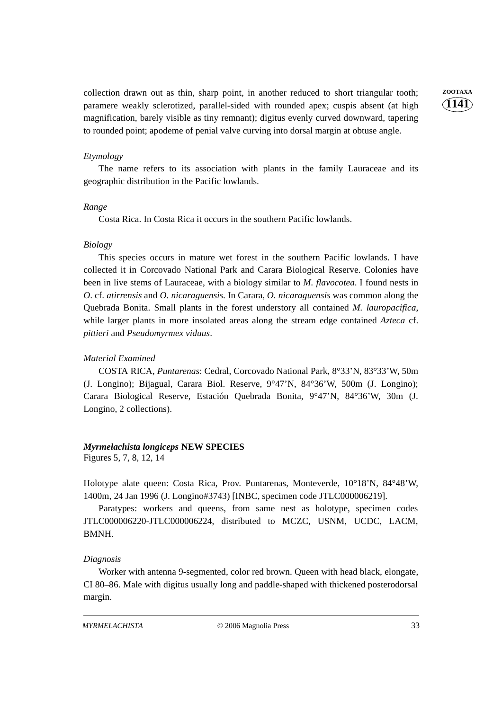collection drawn out as thin, sharp point, in another reduced to short triangular tooth; **ZOOTAXA** paramere weakly sclerotized, parallel-sided with rounded apex; cuspis absent (at high magnification, barely visible as tiny remnant); digitus evenly curved downward, tapering to rounded point; apodeme of penial valve curving into dorsal margin at obtuse angle.

**1141**

#### *Etymology*

The name refers to its association with plants in the family Lauraceae and its geographic distribution in the Pacific lowlands.

#### *Range*

Costa Rica. In Costa Rica it occurs in the southern Pacific lowlands.

#### *Biology*

This species occurs in mature wet forest in the southern Pacific lowlands. I have collected it in Corcovado National Park and Carara Biological Reserve. Colonies have been in live stems of Lauraceae, with a biology similar to *M. flavocotea*. I found nests in *O*. cf. *atirrensis* and *O. nicaraguensis*. In Carara, *O. nicaraguensis* was common along the Quebrada Bonita. Small plants in the forest understory all contained *M. lauropacifica*, while larger plants in more insolated areas along the stream edge contained *Azteca* cf. *pittieri* and *Pseudomyrmex viduus*.

#### *Material Examined*

COSTA RICA, *Puntarenas*: Cedral, Corcovado National Park, 8°33'N, 83°33'W, 50m (J. Longino); Bijagual, Carara Biol. Reserve, 9°47'N, 84°36'W, 500m (J. Longino); Carara Biological Reserve, Estación Quebrada Bonita, 9°47'N, 84°36'W, 30m (J. Longino, 2 collections).

#### *Myrmelachista longiceps* **NEW SPECIES**

Figures 5, 7, 8, 12, 14

Holotype alate queen: Costa Rica, Prov. Puntarenas, Monteverde, 10°18'N, 84°48'W, 1400m, 24 Jan 1996 (J. Longino#3743) [INBC, specimen code JTLC000006219].

Paratypes: workers and queens, from same nest as holotype, specimen codes JTLC000006220-JTLC000006224, distributed to MCZC, USNM, UCDC, LACM, BMNH.

#### *Diagnosis*

Worker with antenna 9-segmented, color red brown. Queen with head black, elongate, CI 80–86. Male with digitus usually long and paddle-shaped with thickened posterodorsal margin.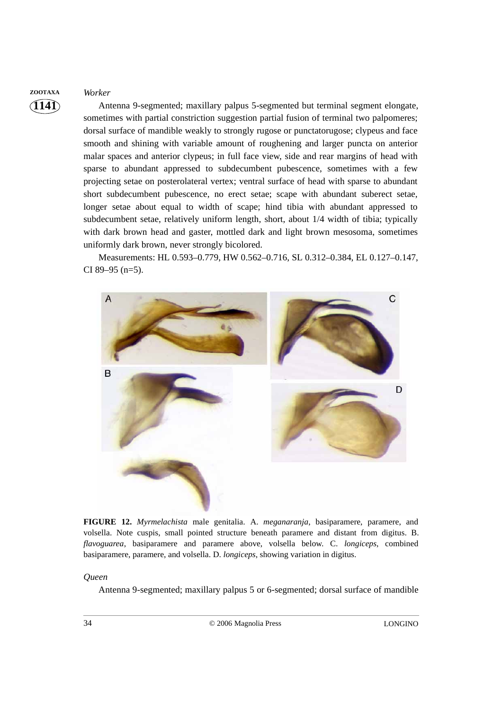**ZOOTAXA** *Worker*

**1141**

Antenna 9-segmented; maxillary palpus 5-segmented but terminal segment elongate, sometimes with partial constriction suggestion partial fusion of terminal two palpomeres; dorsal surface of mandible weakly to strongly rugose or punctatorugose; clypeus and face smooth and shining with variable amount of roughening and larger puncta on anterior malar spaces and anterior clypeus; in full face view, side and rear margins of head with sparse to abundant appressed to subdecumbent pubescence, sometimes with a few projecting setae on posterolateral vertex; ventral surface of head with sparse to abundant short subdecumbent pubescence, no erect setae; scape with abundant suberect setae, longer setae about equal to width of scape; hind tibia with abundant appressed to subdecumbent setae, relatively uniform length, short, about 1/4 width of tibia; typically with dark brown head and gaster, mottled dark and light brown mesosoma, sometimes uniformly dark brown, never strongly bicolored.

Measurements: HL 0.593–0.779, HW 0.562–0.716, SL 0.312–0.384, EL 0.127–0.147, CI 89–95 (n=5).



**FIGURE 12.** *Myrmelachista* male genitalia. A. *meganaranja*, basiparamere, paramere, and volsella. Note cuspis, small pointed structure beneath paramere and distant from digitus. B. *flavoguarea*, basiparamere and paramere above, volsella below. C. *longiceps*, combined basiparamere, paramere, and volsella. D. *longiceps*, showing variation in digitus.

#### *Queen*

Antenna 9-segmented; maxillary palpus 5 or 6-segmented; dorsal surface of mandible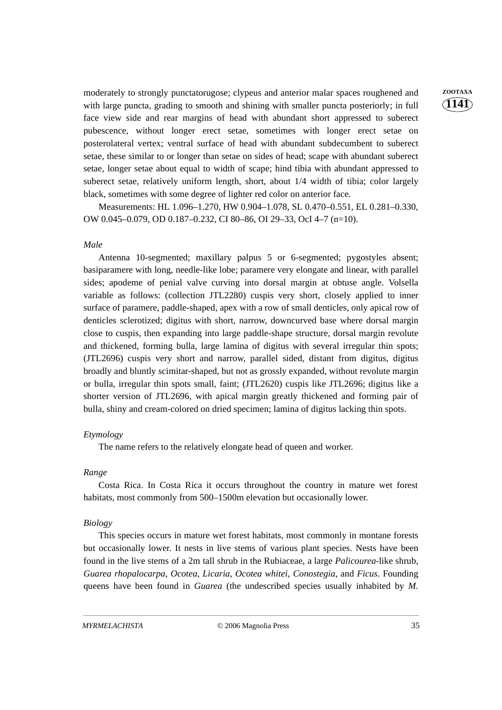moderately to strongly punctatorugose; clypeus and anterior malar spaces roughened and **ZOOTAXA** with large puncta, grading to smooth and shining with smaller puncta posteriorly; in full face view side and rear margins of head with abundant short appressed to suberect pubescence, without longer erect setae, sometimes with longer erect setae on posterolateral vertex; ventral surface of head with abundant subdecumbent to suberect setae, these similar to or longer than setae on sides of head; scape with abundant suberect setae, longer setae about equal to width of scape; hind tibia with abundant appressed to suberect setae, relatively uniform length, short, about 1/4 width of tibia; color largely black, sometimes with some degree of lighter red color on anterior face.

Measurements: HL 1.096–1.270, HW 0.904–1.078, SL 0.470–0.551, EL 0.281–0.330, OW 0.045–0.079, OD 0.187–0.232, CI 80–86, OI 29–33, OcI 4–7 (n=10).

#### *Male*

Antenna 10-segmented; maxillary palpus 5 or 6-segmented; pygostyles absent; basiparamere with long, needle-like lobe; paramere very elongate and linear, with parallel sides; apodeme of penial valve curving into dorsal margin at obtuse angle. Volsella variable as follows: (collection JTL2280) cuspis very short, closely applied to inner surface of paramere, paddle-shaped, apex with a row of small denticles, only apical row of denticles sclerotized; digitus with short, narrow, downcurved base where dorsal margin close to cuspis, then expanding into large paddle-shape structure, dorsal margin revolute and thickened, forming bulla, large lamina of digitus with several irregular thin spots; (JTL2696) cuspis very short and narrow, parallel sided, distant from digitus, digitus broadly and bluntly scimitar-shaped, but not as grossly expanded, without revolute margin or bulla, irregular thin spots small, faint; (JTL2620) cuspis like JTL2696; digitus like a shorter version of JTL2696, with apical margin greatly thickened and forming pair of bulla, shiny and cream-colored on dried specimen; lamina of digitus lacking thin spots.

#### *Etymology*

The name refers to the relatively elongate head of queen and worker.

#### *Range*

Costa Rica. In Costa Rica it occurs throughout the country in mature wet forest habitats, most commonly from 500–1500m elevation but occasionally lower.

#### *Biology*

This species occurs in mature wet forest habitats, most commonly in montane forests but occasionally lower. It nests in live stems of various plant species. Nests have been found in the live stems of a 2m tall shrub in the Rubiaceae, a large *Palicourea*-like shrub, *Guarea rhopalocarpa*, *Ocotea*, *Licaria*, *Ocotea whitei*, *Conostegia*, and *Ficus*. Founding queens have been found in *Guarea* (the undescribed species usually inhabited by *M.*

**1141**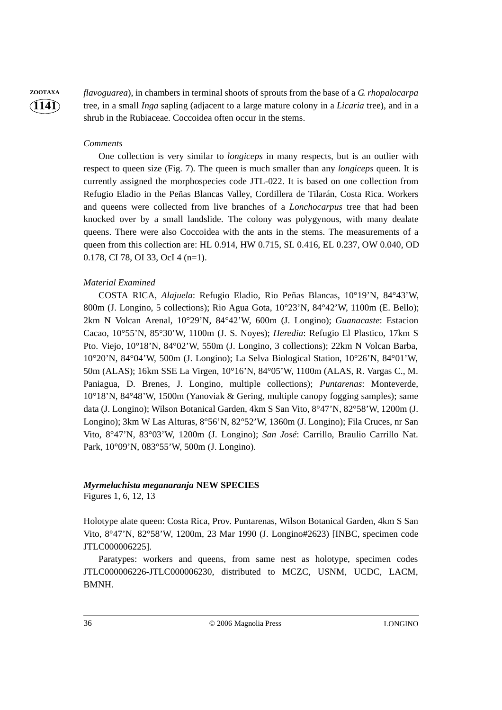**ZOOTAXA** *flavoguarea*), in chambers in terminal shoots of sprouts from the base of a *G. rhopalocarpa* tree, in a small *Inga* sapling (adjacent to a large mature colony in a *Licaria* tree), and in a shrub in the Rubiaceae. Coccoidea often occur in the stems.

#### *Comments*

**1141**

One collection is very similar to *longiceps* in many respects, but is an outlier with respect to queen size (Fig. 7). The queen is much smaller than any *longiceps* queen. It is currently assigned the morphospecies code JTL-022. It is based on one collection from Refugio Eladio in the Peñas Blancas Valley, Cordillera de Tilarán, Costa Rica. Workers and queens were collected from live branches of a *Lonchocarpus* tree that had been knocked over by a small landslide. The colony was polygynous, with many dealate queens. There were also Coccoidea with the ants in the stems. The measurements of a queen from this collection are: HL 0.914, HW 0.715, SL 0.416, EL 0.237, OW 0.040, OD 0.178, CI 78, OI 33, OcI 4 (n=1).

#### *Material Examined*

COSTA RICA, *Alajuela*: Refugio Eladio, Rio Peñas Blancas, 10°19'N, 84°43'W, 800m (J. Longino, 5 collections); Rio Agua Gota, 10°23'N, 84°42'W, 1100m (E. Bello); 2km N Volcan Arenal, 10°29'N, 84°42'W, 600m (J. Longino); *Guanacaste*: Estacion Cacao, 10°55'N, 85°30'W, 1100m (J. S. Noyes); *Heredia*: Refugio El Plastico, 17km S Pto. Viejo, 10°18'N, 84°02'W, 550m (J. Longino, 3 collections); 22km N Volcan Barba, 10°20'N, 84°04'W, 500m (J. Longino); La Selva Biological Station, 10°26'N, 84°01'W, 50m (ALAS); 16km SSE La Virgen, 10°16'N, 84°05'W, 1100m (ALAS, R. Vargas C., M. Paniagua, D. Brenes, J. Longino, multiple collections); *Puntarenas*: Monteverde, 10°18'N, 84°48'W, 1500m (Yanoviak & Gering, multiple canopy fogging samples); same data (J. Longino); Wilson Botanical Garden, 4km S San Vito, 8°47'N, 82°58'W, 1200m (J. Longino); 3km W Las Alturas, 8°56'N, 82°52'W, 1360m (J. Longino); Fila Cruces, nr San Vito, 8°47'N, 83°03'W, 1200m (J. Longino); *San José*: Carrillo, Braulio Carrillo Nat. Park, 10°09'N, 083°55'W, 500m (J. Longino).

#### *Myrmelachista meganaranja* **NEW SPECIES**

Figures 1, 6, 12, 13

Holotype alate queen: Costa Rica, Prov. Puntarenas, Wilson Botanical Garden, 4km S San Vito, 8°47'N, 82°58'W, 1200m, 23 Mar 1990 (J. Longino#2623) [INBC, specimen code JTLC000006225].

Paratypes: workers and queens, from same nest as holotype, specimen codes JTLC000006226-JTLC000006230, distributed to MCZC, USNM, UCDC, LACM, BMNH.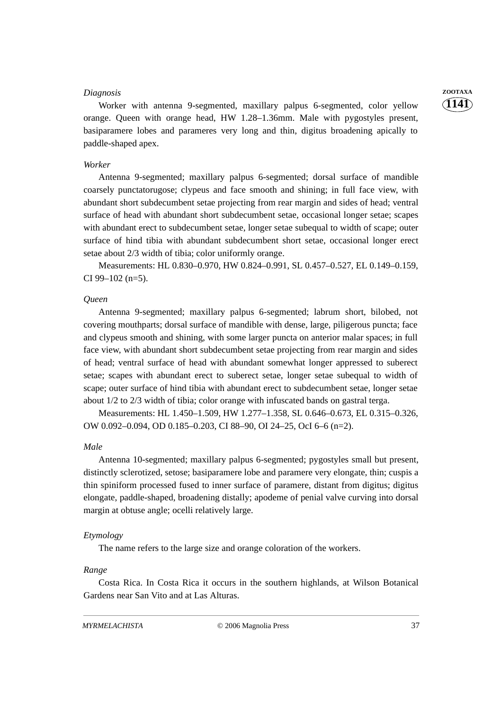#### *Diagnosis* **ZOOTAXA**

Worker with antenna 9-segmented, maxillary palpus 6-segmented, color yellow orange. Queen with orange head, HW 1.28–1.36mm. Male with pygostyles present, basiparamere lobes and parameres very long and thin, digitus broadening apically to paddle-shaped apex.

#### *Worker*

Antenna 9-segmented; maxillary palpus 6-segmented; dorsal surface of mandible coarsely punctatorugose; clypeus and face smooth and shining; in full face view, with abundant short subdecumbent setae projecting from rear margin and sides of head; ventral surface of head with abundant short subdecumbent setae, occasional longer setae; scapes with abundant erect to subdecumbent setae, longer setae subequal to width of scape; outer surface of hind tibia with abundant subdecumbent short setae, occasional longer erect setae about 2/3 width of tibia; color uniformly orange.

Measurements: HL 0.830–0.970, HW 0.824–0.991, SL 0.457–0.527, EL 0.149–0.159, CI 99–102 (n=5).

#### *Queen*

Antenna 9-segmented; maxillary palpus 6-segmented; labrum short, bilobed, not covering mouthparts; dorsal surface of mandible with dense, large, piligerous puncta; face and clypeus smooth and shining, with some larger puncta on anterior malar spaces; in full face view, with abundant short subdecumbent setae projecting from rear margin and sides of head; ventral surface of head with abundant somewhat longer appressed to suberect setae; scapes with abundant erect to suberect setae, longer setae subequal to width of scape; outer surface of hind tibia with abundant erect to subdecumbent setae, longer setae about 1/2 to 2/3 width of tibia; color orange with infuscated bands on gastral terga.

Measurements: HL 1.450–1.509, HW 1.277–1.358, SL 0.646–0.673, EL 0.315–0.326, OW 0.092–0.094, OD 0.185–0.203, CI 88–90, OI 24–25, OcI 6–6 (n=2).

#### *Male*

Antenna 10-segmented; maxillary palpus 6-segmented; pygostyles small but present, distinctly sclerotized, setose; basiparamere lobe and paramere very elongate, thin; cuspis a thin spiniform processed fused to inner surface of paramere, distant from digitus; digitus elongate, paddle-shaped, broadening distally; apodeme of penial valve curving into dorsal margin at obtuse angle; ocelli relatively large.

#### *Etymology*

The name refers to the large size and orange coloration of the workers.

#### *Range*

Costa Rica. In Costa Rica it occurs in the southern highlands, at Wilson Botanical Gardens near San Vito and at Las Alturas.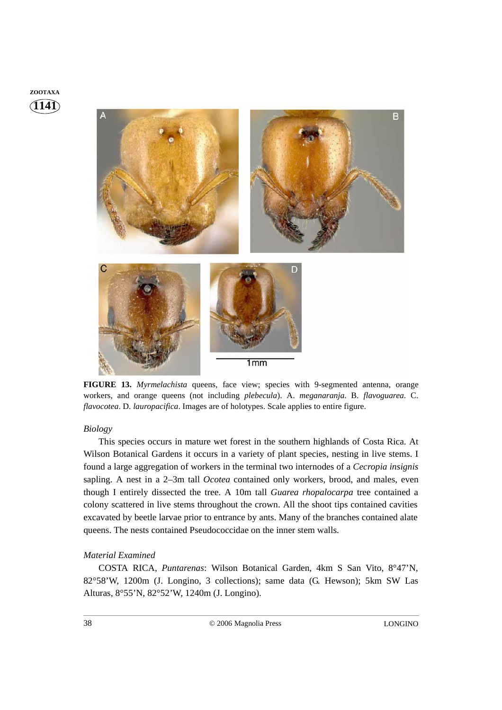



**FIGURE 13.** *Myrmelachista* queens, face view; species with 9-segmented antenna, orange workers, and orange queens (not including *plebecula*). A. *meganaranja*. B. *flavoguarea*. C. *flavocotea*. D. *lauropacifica*. Images are of holotypes. Scale applies to entire figure.

#### *Biology*

This species occurs in mature wet forest in the southern highlands of Costa Rica. At Wilson Botanical Gardens it occurs in a variety of plant species, nesting in live stems. I found a large aggregation of workers in the terminal two internodes of a *Cecropia insignis* sapling. A nest in a 2–3m tall *Ocotea* contained only workers, brood, and males, even though I entirely dissected the tree. A 10m tall *Guarea rhopalocarpa* tree contained a colony scattered in live stems throughout the crown. All the shoot tips contained cavities excavated by beetle larvae prior to entrance by ants. Many of the branches contained alate queens. The nests contained Pseudococcidae on the inner stem walls.

#### *Material Examined*

COSTA RICA, *Puntarenas*: Wilson Botanical Garden, 4km S San Vito, 8°47'N, 82°58'W, 1200m (J. Longino, 3 collections); same data (G. Hewson); 5km SW Las Alturas, 8°55'N, 82°52'W, 1240m (J. Longino).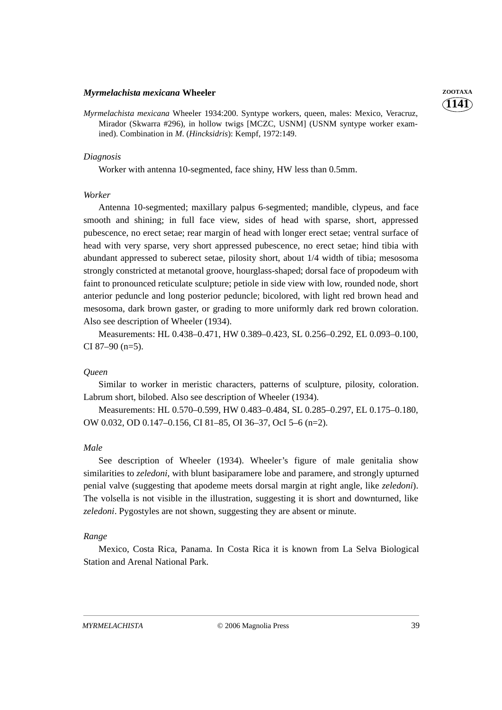#### *Myrmelachista mexicana* **Wheeler ZOOTAXA**

*Myrmelachista mexicana* Wheeler 1934:200. Syntype workers, queen, males: Mexico, Veracruz, Mirador (Skwarra #296), in hollow twigs [MCZC, USNM] (USNM syntype worker examined). Combination in *M*. (*Hincksidris*): Kempf, 1972:149.

#### *Diagnosis*

Worker with antenna 10-segmented, face shiny, HW less than 0.5mm.

#### *Worker*

Antenna 10-segmented; maxillary palpus 6-segmented; mandible, clypeus, and face smooth and shining; in full face view, sides of head with sparse, short, appressed pubescence, no erect setae; rear margin of head with longer erect setae; ventral surface of head with very sparse, very short appressed pubescence, no erect setae; hind tibia with abundant appressed to suberect setae, pilosity short, about 1/4 width of tibia; mesosoma strongly constricted at metanotal groove, hourglass-shaped; dorsal face of propodeum with faint to pronounced reticulate sculpture; petiole in side view with low, rounded node, short anterior peduncle and long posterior peduncle; bicolored, with light red brown head and mesosoma, dark brown gaster, or grading to more uniformly dark red brown coloration. Also see description of Wheeler (1934).

Measurements: HL 0.438–0.471, HW 0.389–0.423, SL 0.256–0.292, EL 0.093–0.100, CI 87–90 (n=5).

#### *Queen*

Similar to worker in meristic characters, patterns of sculpture, pilosity, coloration. Labrum short, bilobed. Also see description of Wheeler (1934).

Measurements: HL 0.570–0.599, HW 0.483–0.484, SL 0.285–0.297, EL 0.175–0.180, OW 0.032, OD 0.147–0.156, CI 81–85, OI 36–37, OcI 5–6 (n=2).

#### *Male*

See description of Wheeler (1934). Wheeler's figure of male genitalia show similarities to *zeledoni*, with blunt basiparamere lobe and paramere, and strongly upturned penial valve (suggesting that apodeme meets dorsal margin at right angle, like *zeledoni*). The volsella is not visible in the illustration, suggesting it is short and downturned, like *zeledoni*. Pygostyles are not shown, suggesting they are absent or minute.

#### *Range*

Mexico, Costa Rica, Panama. In Costa Rica it is known from La Selva Biological Station and Arenal National Park.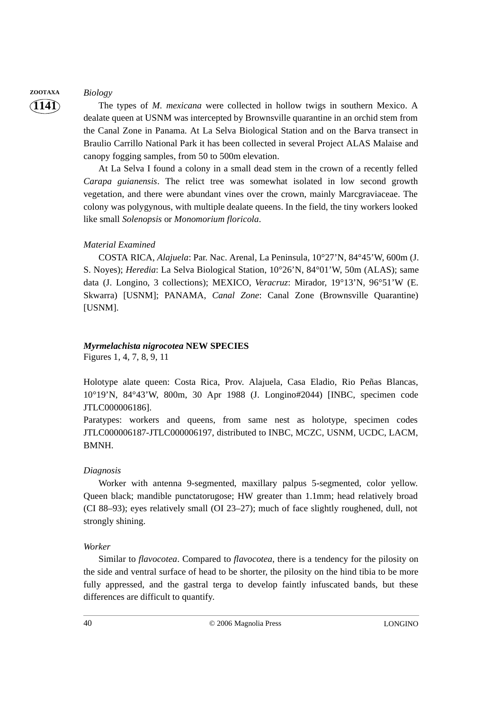#### **ZOOTAXA** *Biology*

**1141**

The types of *M. mexicana* were collected in hollow twigs in southern Mexico. A dealate queen at USNM was intercepted by Brownsville quarantine in an orchid stem from the Canal Zone in Panama. At La Selva Biological Station and on the Barva transect in Braulio Carrillo National Park it has been collected in several Project ALAS Malaise and canopy fogging samples, from 50 to 500m elevation.

At La Selva I found a colony in a small dead stem in the crown of a recently felled *Carapa guianensis*. The relict tree was somewhat isolated in low second growth vegetation, and there were abundant vines over the crown, mainly Marcgraviaceae. The colony was polygynous, with multiple dealate queens. In the field, the tiny workers looked like small *Solenopsis* or *Monomorium floricola*.

#### *Material Examined*

COSTA RICA, *Alajuela*: Par. Nac. Arenal, La Peninsula, 10°27'N, 84°45'W, 600m (J. S. Noyes); *Heredia*: La Selva Biological Station, 10°26'N, 84°01'W, 50m (ALAS); same data (J. Longino, 3 collections); MEXICO, *Veracruz*: Mirador, 19°13'N, 96°51'W (E. Skwarra) [USNM]; PANAMA, *Canal Zone*: Canal Zone (Brownsville Quarantine) [USNM].

# *Myrmelachista nigrocotea* **NEW SPECIES**

Figures 1, 4, 7, 8, 9, 11

Holotype alate queen: Costa Rica, Prov. Alajuela, Casa Eladio, Rio Peñas Blancas, 10°19'N, 84°43'W, 800m, 30 Apr 1988 (J. Longino#2044) [INBC, specimen code JTLC000006186].

Paratypes: workers and queens, from same nest as holotype, specimen codes JTLC000006187-JTLC000006197, distributed to INBC, MCZC, USNM, UCDC, LACM, BMNH.

#### *Diagnosis*

Worker with antenna 9-segmented, maxillary palpus 5-segmented, color yellow. Queen black; mandible punctatorugose; HW greater than 1.1mm; head relatively broad (CI 88–93); eyes relatively small (OI 23–27); much of face slightly roughened, dull, not strongly shining.

#### *Worker*

Similar to *flavocotea*. Compared to *flavocotea*, there is a tendency for the pilosity on the side and ventral surface of head to be shorter, the pilosity on the hind tibia to be more fully appressed, and the gastral terga to develop faintly infuscated bands, but these differences are difficult to quantify.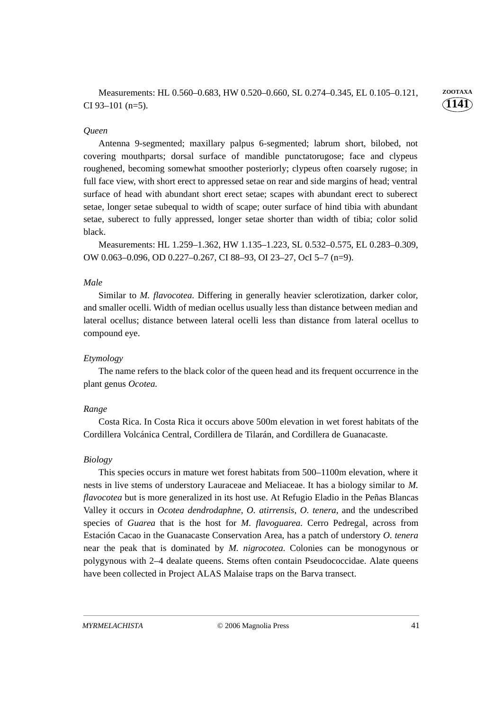Antenna 9-segmented; maxillary palpus 6-segmented; labrum short, bilobed, not covering mouthparts; dorsal surface of mandible punctatorugose; face and clypeus roughened, becoming somewhat smoother posteriorly; clypeus often coarsely rugose; in full face view, with short erect to appressed setae on rear and side margins of head; ventral surface of head with abundant short erect setae; scapes with abundant erect to suberect setae, longer setae subequal to width of scape; outer surface of hind tibia with abundant setae, suberect to fully appressed, longer setae shorter than width of tibia; color solid black.

Measurements: HL 1.259–1.362, HW 1.135–1.223, SL 0.532–0.575, EL 0.283–0.309, OW 0.063–0.096, OD 0.227–0.267, CI 88–93, OI 23–27, OcI 5–7 (n=9).

### *Male*

Similar to *M. flavocotea*. Differing in generally heavier sclerotization, darker color, and smaller ocelli. Width of median ocellus usually less than distance between median and lateral ocellus; distance between lateral ocelli less than distance from lateral ocellus to compound eye.

#### *Etymology*

The name refers to the black color of the queen head and its frequent occurrence in the plant genus *Ocotea.*

#### *Range*

Costa Rica. In Costa Rica it occurs above 500m elevation in wet forest habitats of the Cordillera Volcánica Central, Cordillera de Tilarán, and Cordillera de Guanacaste.

#### *Biology*

This species occurs in mature wet forest habitats from 500–1100m elevation, where it nests in live stems of understory Lauraceae and Meliaceae. It has a biology similar to *M. flavocotea* but is more generalized in its host use. At Refugio Eladio in the Peñas Blancas Valley it occurs in *Ocotea dendrodaphne*, *O. atirrensis*, *O. tenera*, and the undescribed species of *Guarea* that is the host for *M. flavoguarea*. Cerro Pedregal, across from Estación Cacao in the Guanacaste Conservation Area, has a patch of understory *O. tenera* near the peak that is dominated by *M. nigrocotea*. Colonies can be monogynous or polygynous with 2–4 dealate queens. Stems often contain Pseudococcidae. Alate queens have been collected in Project ALAS Malaise traps on the Barva transect.

**1141**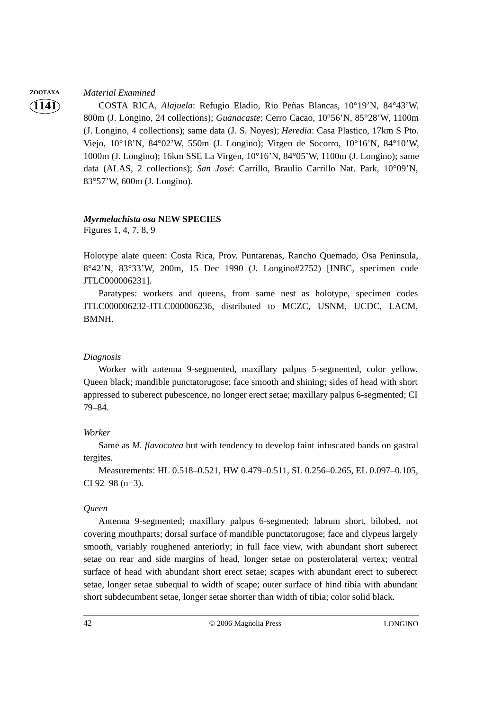## **ZOOTAXA** *Material Examined*

**1141**

COSTA RICA, *Alajuela*: Refugio Eladio, Rio Peñas Blancas, 10°19'N, 84°43'W, 800m (J. Longino, 24 collections); *Guanacaste*: Cerro Cacao, 10°56'N, 85°28'W, 1100m (J. Longino, 4 collections); same data (J. S. Noyes); *Heredia*: Casa Plastico, 17km S Pto. Viejo, 10°18'N, 84°02'W, 550m (J. Longino); Virgen de Socorro, 10°16'N, 84°10'W, 1000m (J. Longino); 16km SSE La Virgen, 10°16'N, 84°05'W, 1100m (J. Longino); same data (ALAS, 2 collections); *San José*: Carrillo, Braulio Carrillo Nat. Park, 10°09'N, 83°57'W, 600m (J. Longino).

# *Myrmelachista osa* **NEW SPECIES**

Figures 1, 4, 7, 8, 9

Holotype alate queen: Costa Rica, Prov. Puntarenas, Rancho Quemado, Osa Peninsula, 8°42'N, 83°33'W, 200m, 15 Dec 1990 (J. Longino#2752) [INBC, specimen code JTLC000006231].

Paratypes: workers and queens, from same nest as holotype, specimen codes JTLC000006232-JTLC000006236, distributed to MCZC, USNM, UCDC, LACM, BMNH.

## *Diagnosis*

Worker with antenna 9-segmented, maxillary palpus 5-segmented, color yellow. Queen black; mandible punctatorugose; face smooth and shining; sides of head with short appressed to suberect pubescence, no longer erect setae; maxillary palpus 6-segmented; CI 79–84.

#### *Worker*

Same as *M. flavocotea* but with tendency to develop faint infuscated bands on gastral tergites.

Measurements: HL 0.518–0.521, HW 0.479–0.511, SL 0.256–0.265, EL 0.097–0.105, CI 92–98 (n=3).

#### *Queen*

Antenna 9-segmented; maxillary palpus 6-segmented; labrum short, bilobed, not covering mouthparts; dorsal surface of mandible punctatorugose; face and clypeus largely smooth, variably roughened anteriorly; in full face view, with abundant short suberect setae on rear and side margins of head, longer setae on posterolateral vertex; ventral surface of head with abundant short erect setae; scapes with abundant erect to suberect setae, longer setae subequal to width of scape; outer surface of hind tibia with abundant short subdecumbent setae, longer setae shorter than width of tibia; color solid black.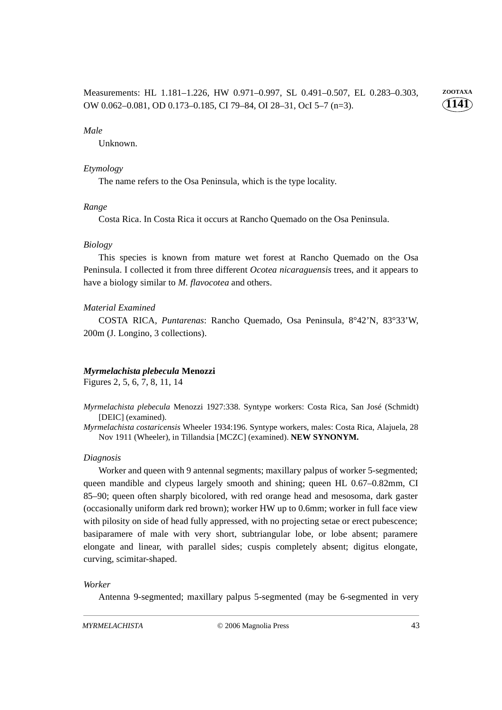**1141** Measurements: HL 1.181–1.226, HW 0.971–0.997, SL 0.491–0.507, EL 0.283–0.303, **ZOOTAXA** OW 0.062–0.081, OD 0.173–0.185, CI 79–84, OI 28–31, OcI 5–7 (n=3).

#### *Male*

Unknown.

#### *Etymology*

The name refers to the Osa Peninsula, which is the type locality.

#### *Range*

Costa Rica. In Costa Rica it occurs at Rancho Quemado on the Osa Peninsula.

#### *Biology*

This species is known from mature wet forest at Rancho Quemado on the Osa Peninsula. I collected it from three different *Ocotea nicaraguensis* trees, and it appears to have a biology similar to *M. flavocotea* and others.

#### *Material Examined*

COSTA RICA, *Puntarenas*: Rancho Quemado, Osa Peninsula, 8°42'N, 83°33'W, 200m (J. Longino, 3 collections).

#### *Myrmelachista plebecula* **Menozzi**

Figures 2, 5, 6, 7, 8, 11, 14

- *Myrmelachista plebecula* Menozzi 1927:338. Syntype workers: Costa Rica, San José (Schmidt) [DEIC] (examined).
- *Myrmelachista costaricensis* Wheeler 1934:196. Syntype workers, males: Costa Rica, Alajuela, 28 Nov 1911 (Wheeler), in Tillandsia [MCZC] (examined). **NEW SYNONYM.**

#### *Diagnosis*

Worker and queen with 9 antennal segments; maxillary palpus of worker 5-segmented; queen mandible and clypeus largely smooth and shining; queen HL 0.67–0.82mm, CI 85–90; queen often sharply bicolored, with red orange head and mesosoma, dark gaster (occasionally uniform dark red brown); worker HW up to 0.6mm; worker in full face view with pilosity on side of head fully appressed, with no projecting setae or erect pubescence; basiparamere of male with very short, subtriangular lobe, or lobe absent; paramere elongate and linear, with parallel sides; cuspis completely absent; digitus elongate, curving, scimitar-shaped.

#### *Worker*

Antenna 9-segmented; maxillary palpus 5-segmented (may be 6-segmented in very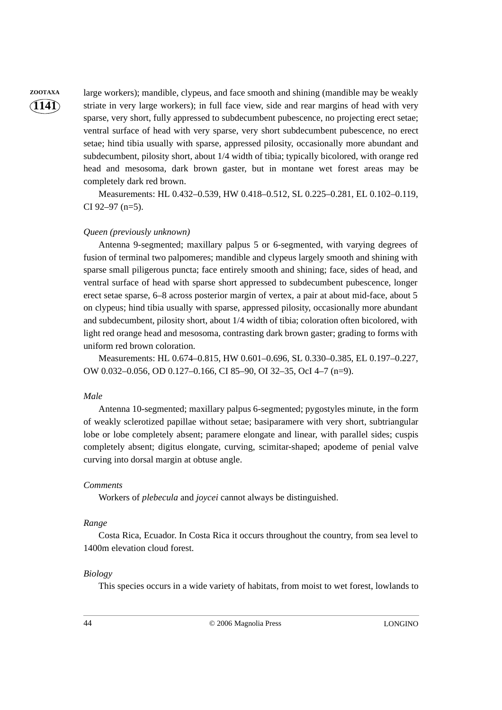**ZOOTAXA** large workers); mandible, clypeus, and face smooth and shining (mandible may be weakly striate in very large workers); in full face view, side and rear margins of head with very sparse, very short, fully appressed to subdecumbent pubescence, no projecting erect setae; ventral surface of head with very sparse, very short subdecumbent pubescence, no erect setae; hind tibia usually with sparse, appressed pilosity, occasionally more abundant and subdecumbent, pilosity short, about 1/4 width of tibia; typically bicolored, with orange red head and mesosoma, dark brown gaster, but in montane wet forest areas may be completely dark red brown.

> Measurements: HL 0.432–0.539, HW 0.418–0.512, SL 0.225–0.281, EL 0.102–0.119, CI 92–97 (n=5).

#### *Queen (previously unknown)*

Antenna 9-segmented; maxillary palpus 5 or 6-segmented, with varying degrees of fusion of terminal two palpomeres; mandible and clypeus largely smooth and shining with sparse small piligerous puncta; face entirely smooth and shining; face, sides of head, and ventral surface of head with sparse short appressed to subdecumbent pubescence, longer erect setae sparse, 6–8 across posterior margin of vertex, a pair at about mid-face, about 5 on clypeus; hind tibia usually with sparse, appressed pilosity, occasionally more abundant and subdecumbent, pilosity short, about 1/4 width of tibia; coloration often bicolored, with light red orange head and mesosoma, contrasting dark brown gaster; grading to forms with uniform red brown coloration.

Measurements: HL 0.674–0.815, HW 0.601–0.696, SL 0.330–0.385, EL 0.197–0.227, OW 0.032–0.056, OD 0.127–0.166, CI 85–90, OI 32–35, OcI 4–7 (n=9).

#### *Male*

Antenna 10-segmented; maxillary palpus 6-segmented; pygostyles minute, in the form of weakly sclerotized papillae without setae; basiparamere with very short, subtriangular lobe or lobe completely absent; paramere elongate and linear, with parallel sides; cuspis completely absent; digitus elongate, curving, scimitar-shaped; apodeme of penial valve curving into dorsal margin at obtuse angle.

#### *Comments*

Workers of *plebecula* and *joycei* cannot always be distinguished.

#### *Range*

Costa Rica, Ecuador. In Costa Rica it occurs throughout the country, from sea level to 1400m elevation cloud forest.

#### *Biology*

This species occurs in a wide variety of habitats, from moist to wet forest, lowlands to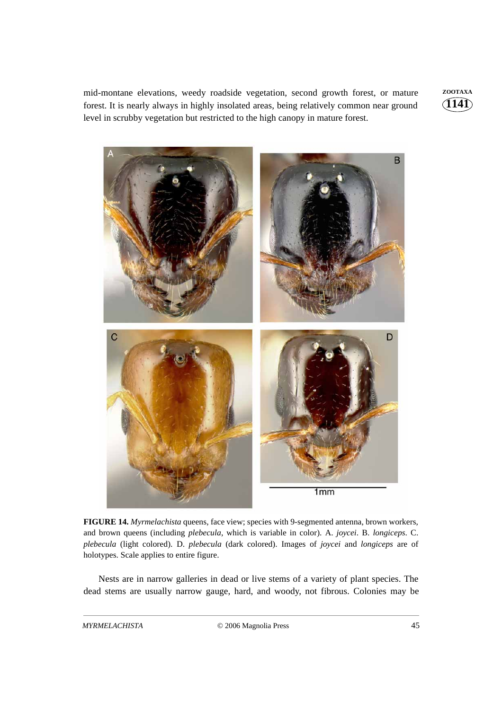mid-montane elevations, weedy roadside vegetation, second growth forest, or mature **ZOOTAXA** forest. It is nearly always in highly insolated areas, being relatively common near ground level in scrubby vegetation but restricted to the high canopy in mature forest.

**1141**



**FIGURE 14.** *Myrmelachista* queens, face view; species with 9-segmented antenna, brown workers, and brown queens (including *plebecula*, which is variable in color). A. *joycei*. B. *longiceps*. C. *plebecula* (light colored). D. *plebecula* (dark colored). Images of *joycei* and *longiceps* are of holotypes. Scale applies to entire figure.

Nests are in narrow galleries in dead or live stems of a variety of plant species. The dead stems are usually narrow gauge, hard, and woody, not fibrous. Colonies may be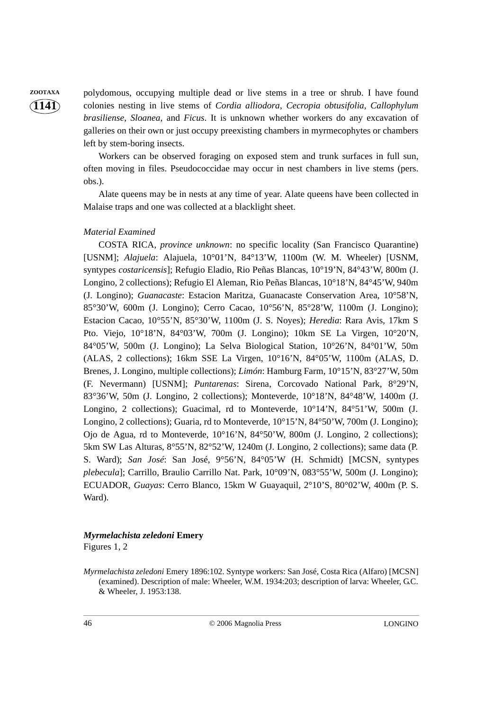**ZOOTAXA** polydomous, occupying multiple dead or live stems in a tree or shrub. I have found colonies nesting in live stems of *Cordia alliodora*, *Cecropia obtusifolia*, *Callophylum brasiliense*, *Sloanea*, and *Ficus*. It is unknown whether workers do any excavation of galleries on their own or just occupy preexisting chambers in myrmecophytes or chambers left by stem-boring insects.

> Workers can be observed foraging on exposed stem and trunk surfaces in full sun, often moving in files. Pseudococcidae may occur in nest chambers in live stems (pers. obs.).

> Alate queens may be in nests at any time of year. Alate queens have been collected in Malaise traps and one was collected at a blacklight sheet.

#### *Material Examined*

COSTA RICA, *province unknown*: no specific locality (San Francisco Quarantine) [USNM]; *Alajuela*: Alajuela, 10°01'N, 84°13'W, 1100m (W. M. Wheeler) [USNM, syntypes *costaricensis*]; Refugio Eladio, Rio Peñas Blancas, 10°19'N, 84°43'W, 800m (J. Longino, 2 collections); Refugio El Aleman, Rio Peñas Blancas, 10°18'N, 84°45'W, 940m (J. Longino); *Guanacaste*: Estacion Maritza, Guanacaste Conservation Area, 10°58'N, 85°30'W, 600m (J. Longino); Cerro Cacao, 10°56'N, 85°28'W, 1100m (J. Longino); Estacion Cacao, 10°55'N, 85°30'W, 1100m (J. S. Noyes); *Heredia*: Rara Avis, 17km S Pto. Viejo, 10°18'N, 84°03'W, 700m (J. Longino); 10km SE La Virgen, 10°20'N, 84°05'W, 500m (J. Longino); La Selva Biological Station, 10°26'N, 84°01'W, 50m (ALAS, 2 collections); 16km SSE La Virgen, 10°16'N, 84°05'W, 1100m (ALAS, D. Brenes, J. Longino, multiple collections); *Limón*: Hamburg Farm, 10°15'N, 83°27'W, 50m (F. Nevermann) [USNM]; *Puntarenas*: Sirena, Corcovado National Park, 8°29'N, 83°36'W, 50m (J. Longino, 2 collections); Monteverde, 10°18'N, 84°48'W, 1400m (J. Longino, 2 collections); Guacimal, rd to Monteverde, 10°14'N, 84°51'W, 500m (J. Longino, 2 collections); Guaria, rd to Monteverde, 10°15'N, 84°50'W, 700m (J. Longino); Ojo de Agua, rd to Monteverde, 10°16'N, 84°50'W, 800m (J. Longino, 2 collections); 5km SW Las Alturas, 8°55'N, 82°52'W, 1240m (J. Longino, 2 collections); same data (P. S. Ward); *San José*: San José, 9°56'N, 84°05'W (H. Schmidt) [MCSN, syntypes *plebecula*]; Carrillo, Braulio Carrillo Nat. Park, 10°09'N, 083°55'W, 500m (J. Longino); ECUADOR, *Guayas*: Cerro Blanco, 15km W Guayaquil, 2°10'S, 80°02'W, 400m (P. S. Ward).

# *Myrmelachista zeledoni* **Emery**

Figures 1, 2

*Myrmelachista zeledoni* Emery 1896:102. Syntype workers: San José, Costa Rica (Alfaro) [MCSN] (examined). Description of male: Wheeler, W.M. 1934:203; description of larva: Wheeler, G.C. & Wheeler, J. 1953:138.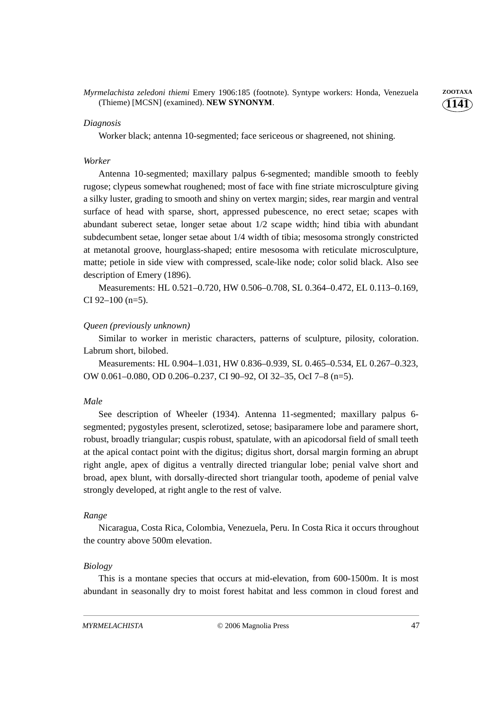*Myrmelachista zeledoni thiemi* Emery 1906:185 (footnote). Syntype workers: Honda, Venezuela **ZOOTAXA** (Thieme) [MCSN] (examined). **NEW SYNONYM**.

#### *Diagnosis*

Worker black; antenna 10-segmented; face sericeous or shagreened, not shining.

#### *Worker*

Antenna 10-segmented; maxillary palpus 6-segmented; mandible smooth to feebly rugose; clypeus somewhat roughened; most of face with fine striate microsculpture giving a silky luster, grading to smooth and shiny on vertex margin; sides, rear margin and ventral surface of head with sparse, short, appressed pubescence, no erect setae; scapes with abundant suberect setae, longer setae about 1/2 scape width; hind tibia with abundant subdecumbent setae, longer setae about 1/4 width of tibia; mesosoma strongly constricted at metanotal groove, hourglass-shaped; entire mesosoma with reticulate microsculpture, matte; petiole in side view with compressed, scale-like node; color solid black. Also see description of Emery (1896).

Measurements: HL 0.521–0.720, HW 0.506–0.708, SL 0.364–0.472, EL 0.113–0.169, CI 92–100 (n=5).

#### *Queen (previously unknown)*

Similar to worker in meristic characters, patterns of sculpture, pilosity, coloration. Labrum short, bilobed.

Measurements: HL 0.904–1.031, HW 0.836–0.939, SL 0.465–0.534, EL 0.267–0.323, OW 0.061–0.080, OD 0.206–0.237, CI 90–92, OI 32–35, OcI 7–8 (n=5).

#### *Male*

See description of Wheeler (1934). Antenna 11-segmented; maxillary palpus 6 segmented; pygostyles present, sclerotized, setose; basiparamere lobe and paramere short, robust, broadly triangular; cuspis robust, spatulate, with an apicodorsal field of small teeth at the apical contact point with the digitus; digitus short, dorsal margin forming an abrupt right angle, apex of digitus a ventrally directed triangular lobe; penial valve short and broad, apex blunt, with dorsally-directed short triangular tooth, apodeme of penial valve strongly developed, at right angle to the rest of valve.

#### *Range*

Nicaragua, Costa Rica, Colombia, Venezuela, Peru. In Costa Rica it occurs throughout the country above 500m elevation.

#### *Biology*

This is a montane species that occurs at mid-elevation, from 600-1500m. It is most abundant in seasonally dry to moist forest habitat and less common in cloud forest and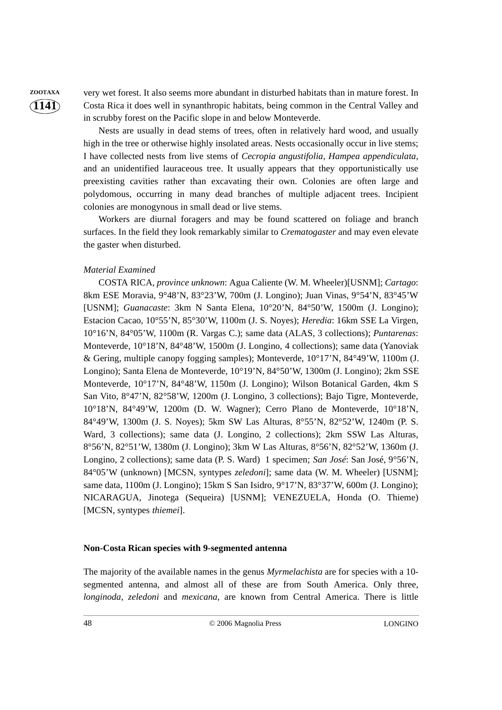**ZOOTAXA** very wet forest. It also seems more abundant in disturbed habitats than in mature forest. In Costa Rica it does well in synanthropic habitats, being common in the Central Valley and in scrubby forest on the Pacific slope in and below Monteverde.

> Nests are usually in dead stems of trees, often in relatively hard wood, and usually high in the tree or otherwise highly insolated areas. Nests occasionally occur in live stems; I have collected nests from live stems of *Cecropia angustifolia*, *Hampea appendiculata*, and an unidentified lauraceous tree. It usually appears that they opportunistically use preexisting cavities rather than excavating their own. Colonies are often large and polydomous, occurring in many dead branches of multiple adjacent trees. Incipient colonies are monogynous in small dead or live stems.

> Workers are diurnal foragers and may be found scattered on foliage and branch surfaces. In the field they look remarkably similar to *Crematogaster* and may even elevate the gaster when disturbed.

#### *Material Examined*

COSTA RICA, *province unknown*: Agua Caliente (W. M. Wheeler)[USNM]; *Cartago*: 8km ESE Moravia, 9°48'N, 83°23'W, 700m (J. Longino); Juan Vinas, 9°54'N, 83°45'W [USNM]; *Guanacaste*: 3km N Santa Elena, 10°20'N, 84°50'W, 1500m (J. Longino); Estacion Cacao, 10°55'N, 85°30'W, 1100m (J. S. Noyes); *Heredia*: 16km SSE La Virgen, 10°16'N, 84°05'W, 1100m (R. Vargas C.); same data (ALAS, 3 collections); *Puntarenas*: Monteverde, 10°18'N, 84°48'W, 1500m (J. Longino, 4 collections); same data (Yanoviak & Gering, multiple canopy fogging samples); Monteverde, 10°17'N, 84°49'W, 1100m (J. Longino); Santa Elena de Monteverde, 10°19'N, 84°50'W, 1300m (J. Longino); 2km SSE Monteverde, 10°17'N, 84°48'W, 1150m (J. Longino); Wilson Botanical Garden, 4km S San Vito, 8°47'N, 82°58'W, 1200m (J. Longino, 3 collections); Bajo Tigre, Monteverde, 10°18'N, 84°49'W, 1200m (D. W. Wagner); Cerro Plano de Monteverde, 10°18'N, 84°49'W, 1300m (J. S. Noyes); 5km SW Las Alturas, 8°55'N, 82°52'W, 1240m (P. S. Ward, 3 collections); same data (J. Longino, 2 collections); 2km SSW Las Alturas, 8°56'N, 82°51'W, 1380m (J. Longino); 3km W Las Alturas, 8°56'N, 82°52'W, 1360m (J. Longino, 2 collections); same data (P. S. Ward) 1 specimen; *San José*: San José, 9°56'N, 84°05'W (unknown) [MCSN, syntypes *zeledoni*]; same data (W. M. Wheeler) [USNM]; same data, 1100m (J. Longino); 15km S San Isidro, 9°17'N, 83°37'W, 600m (J. Longino); NICARAGUA, Jinotega (Sequeira) [USNM]; VENEZUELA, Honda (O. Thieme) [MCSN, syntypes *thiemei*].

#### **Non-Costa Rican species with 9-segmented antenna**

The majority of the available names in the genus *Myrmelachista* are for species with a 10 segmented antenna, and almost all of these are from South America. Only three, *longinoda*, *zeledoni* and *mexicana*, are known from Central America. There is little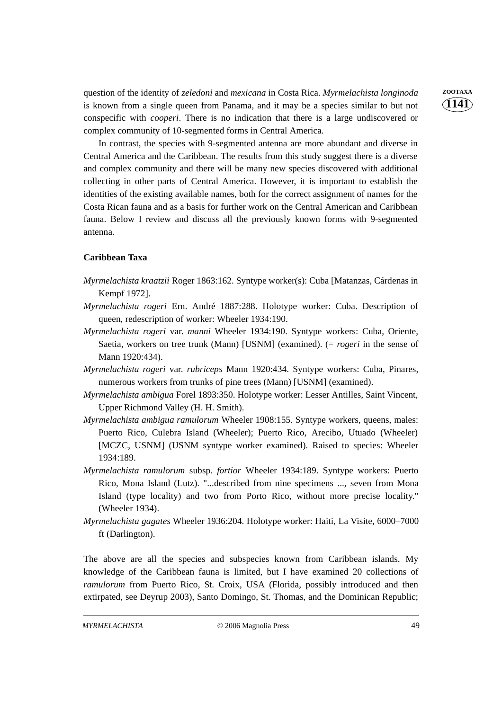question of the identity of *zeledoni* and *mexicana* in Costa Rica. *Myrmelachista longinoda* **ZOOTAXA** is known from a single queen from Panama, and it may be a species similar to but not conspecific with *cooperi*. There is no indication that there is a large undiscovered or complex community of 10-segmented forms in Central America.

In contrast, the species with 9-segmented antenna are more abundant and diverse in Central America and the Caribbean. The results from this study suggest there is a diverse and complex community and there will be many new species discovered with additional collecting in other parts of Central America. However, it is important to establish the identities of the existing available names, both for the correct assignment of names for the Costa Rican fauna and as a basis for further work on the Central American and Caribbean fauna. Below I review and discuss all the previously known forms with 9-segmented antenna.

#### **Caribbean Taxa**

- *Myrmelachista kraatzii* Roger 1863:162. Syntype worker(s): Cuba [Matanzas, Cárdenas in Kempf 1972].
- *Myrmelachista rogeri* Ern. André 1887:288. Holotype worker: Cuba. Description of queen, redescription of worker: Wheeler 1934:190.
- *Myrmelachista rogeri* var. *manni* Wheeler 1934:190. Syntype workers: Cuba, Oriente, Saetia, workers on tree trunk (Mann) [USNM] (examined). (= *rogeri* in the sense of Mann 1920:434).
- *Myrmelachista rogeri* var. *rubriceps* Mann 1920:434. Syntype workers: Cuba, Pinares, numerous workers from trunks of pine trees (Mann) [USNM] (examined).
- *Myrmelachista ambigua* Forel 1893:350. Holotype worker: Lesser Antilles, Saint Vincent, Upper Richmond Valley (H. H. Smith).
- *Myrmelachista ambigua ramulorum* Wheeler 1908:155. Syntype workers, queens, males: Puerto Rico, Culebra Island (Wheeler); Puerto Rico, Arecibo, Utuado (Wheeler) [MCZC, USNM] (USNM syntype worker examined). Raised to species: Wheeler 1934:189.
- *Myrmelachista ramulorum* subsp. *fortior* Wheeler 1934:189. Syntype workers: Puerto Rico, Mona Island (Lutz). "...described from nine specimens ..., seven from Mona Island (type locality) and two from Porto Rico, without more precise locality." (Wheeler 1934).
- *Myrmelachista gagates* Wheeler 1936:204. Holotype worker: Haiti, La Visite, 6000–7000 ft (Darlington).

The above are all the species and subspecies known from Caribbean islands. My knowledge of the Caribbean fauna is limited, but I have examined 20 collections of *ramulorum* from Puerto Rico, St. Croix, USA (Florida, possibly introduced and then extirpated, see Deyrup 2003), Santo Domingo, St. Thomas, and the Dominican Republic;

**1141**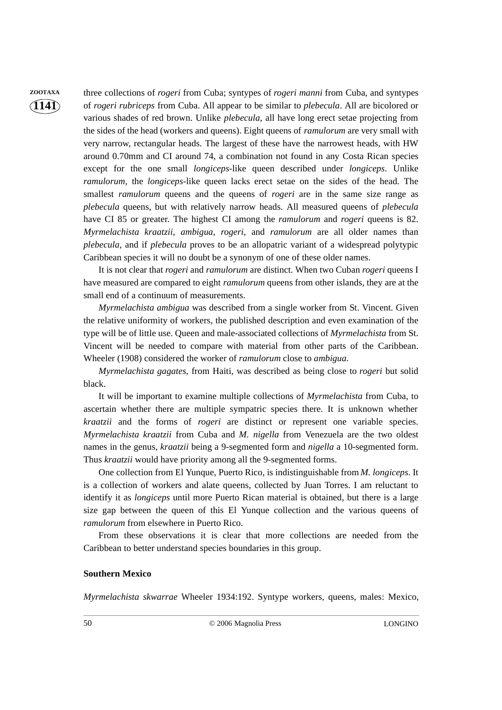**ZOOTAXA** three collections of *rogeri* from Cuba; syntypes of *rogeri manni* from Cuba, and syntypes of *rogeri rubriceps* from Cuba. All appear to be similar to *plebecula*. All are bicolored or various shades of red brown. Unlike *plebecula*, all have long erect setae projecting from the sides of the head (workers and queens). Eight queens of *ramulorum* are very small with very narrow, rectangular heads. The largest of these have the narrowest heads, with HW around 0.70mm and CI around 74, a combination not found in any Costa Rican species except for the one small *longiceps*-like queen described under *longiceps*. Unlike *ramulorum*, the *longiceps*-like queen lacks erect setae on the sides of the head. The smallest *ramulorum* queens and the queens of *rogeri* are in the same size range as *plebecula* queens, but with relatively narrow heads. All measured queens of *plebecula* have CI 85 or greater. The highest CI among the *ramulorum* and *rogeri* queens is 82. *Myrmelachista kraatzii*, *ambigua*, *rogeri*, and *ramulorum* are all older names than *plebecula*, and if *plebecula* proves to be an allopatric variant of a widespread polytypic Caribbean species it will no doubt be a synonym of one of these older names.

> It is not clear that *rogeri* and *ramulorum* are distinct. When two Cuban *rogeri* queens I have measured are compared to eight *ramulorum* queens from other islands, they are at the small end of a continuum of measurements.

> *Myrmelachista ambigua* was described from a single worker from St. Vincent. Given the relative uniformity of workers, the published description and even examination of the type will be of little use. Queen and male-associated collections of *Myrmelachista* from St. Vincent will be needed to compare with material from other parts of the Caribbean. Wheeler (1908) considered the worker of *ramulorum* close to *ambigua*.

> *Myrmelachista gagates*, from Haiti, was described as being close to *rogeri* but solid black.

> It will be important to examine multiple collections of *Myrmelachista* from Cuba, to ascertain whether there are multiple sympatric species there. It is unknown whether *kraatzii* and the forms of *rogeri* are distinct or represent one variable species. *Myrmelachista kraatzii* from Cuba and *M. nigella* from Venezuela are the two oldest names in the genus, *kraatzii* being a 9-segmented form and *nigella* a 10-segmented form. Thus *kraatzii* would have priority among all the 9-segmented forms.

> One collection from El Yunque, Puerto Rico, is indistinguishable from *M. longiceps*. It is a collection of workers and alate queens, collected by Juan Torres. I am reluctant to identify it as *longiceps* until more Puerto Rican material is obtained, but there is a large size gap between the queen of this El Yunque collection and the various queens of *ramulorum* from elsewhere in Puerto Rico.

> From these observations it is clear that more collections are needed from the Caribbean to better understand species boundaries in this group.

#### **Southern Mexico**

*Myrmelachista skwarrae* Wheeler 1934:192. Syntype workers, queens, males: Mexico,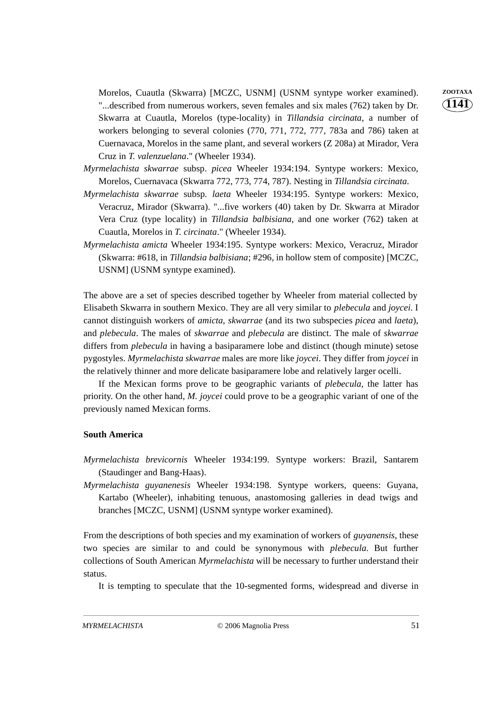Morelos, Cuautla (Skwarra) [MCZC, USNM] (USNM syntype worker examined). **ZOOTAXA** "...described from numerous workers, seven females and six males (762) taken by Dr. Skwarra at Cuautla, Morelos (type-locality) in *Tillandsia circinata*, a number of workers belonging to several colonies (770, 771, 772, 777, 783a and 786) taken at Cuernavaca, Morelos in the same plant, and several workers (Z 208a) at Mirador, Vera Cruz in *T. valenzuelana*." (Wheeler 1934).

- *Myrmelachista skwarrae* subsp. *picea* Wheeler 1934:194. Syntype workers: Mexico, Morelos, Cuernavaca (Skwarra 772, 773, 774, 787). Nesting in *Tillandsia circinata*.
- *Myrmelachista skwarrae* subsp. *laeta* Wheeler 1934:195. Syntype workers: Mexico, Veracruz, Mirador (Skwarra). "...five workers (40) taken by Dr. Skwarra at Mirador Vera Cruz (type locality) in *Tillandsia balbisiana*, and one worker (762) taken at Cuautla, Morelos in *T. circinata*." (Wheeler 1934).
- *Myrmelachista amicta* Wheeler 1934:195. Syntype workers: Mexico, Veracruz, Mirador (Skwarra: #618, in *Tillandsia balbisiana*; #296, in hollow stem of composite) [MCZC, USNM] (USNM syntype examined).

The above are a set of species described together by Wheeler from material collected by Elisabeth Skwarra in southern Mexico. They are all very similar to *plebecula* and *joycei*. I cannot distinguish workers of *amicta*, *skwarrae* (and its two subspecies *picea* and *laeta*), and *plebecula*. The males of *skwarrae* and *plebecula* are distinct. The male of *skwarrae* differs from *plebecula* in having a basiparamere lobe and distinct (though minute) setose pygostyles. *Myrmelachista skwarrae* males are more like *joycei*. They differ from *joycei* in the relatively thinner and more delicate basiparamere lobe and relatively larger ocelli.

If the Mexican forms prove to be geographic variants of *plebecula*, the latter has priority. On the other hand, *M. joycei* could prove to be a geographic variant of one of the previously named Mexican forms.

#### **South America**

- *Myrmelachista brevicornis* Wheeler 1934:199. Syntype workers: Brazil, Santarem (Staudinger and Bang-Haas).
- *Myrmelachista guyanenesis* Wheeler 1934:198. Syntype workers, queens: Guyana, Kartabo (Wheeler), inhabiting tenuous, anastomosing galleries in dead twigs and branches [MCZC, USNM] (USNM syntype worker examined).

From the descriptions of both species and my examination of workers of *guyanensis*, these two species are similar to and could be synonymous with *plebecula*. But further collections of South American *Myrmelachista* will be necessary to further understand their status.

It is tempting to speculate that the 10-segmented forms, widespread and diverse in

**1141**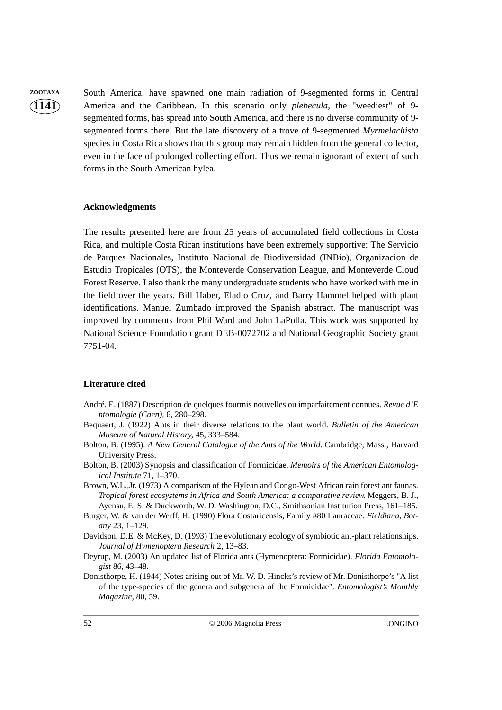**ZOOTAXA** South America, have spawned one main radiation of 9-segmented forms in Central America and the Caribbean. In this scenario only *plebecula*, the "weediest" of 9 segmented forms, has spread into South America, and there is no diverse community of 9 segmented forms there. But the late discovery of a trove of 9-segmented *Myrmelachista* species in Costa Rica shows that this group may remain hidden from the general collector, even in the face of prolonged collecting effort. Thus we remain ignorant of extent of such forms in the South American hylea.

#### **Acknowledgments**

The results presented here are from 25 years of accumulated field collections in Costa Rica, and multiple Costa Rican institutions have been extremely supportive: The Servicio de Parques Nacionales, Instituto Nacional de Biodiversidad (INBio), Organizacion de Estudio Tropicales (OTS), the Monteverde Conservation League, and Monteverde Cloud Forest Reserve. I also thank the many undergraduate students who have worked with me in the field over the years. Bill Haber, Eladio Cruz, and Barry Hammel helped with plant identifications. Manuel Zumbado improved the Spanish abstract. The manuscript was improved by comments from Phil Ward and John LaPolla. This work was supported by National Science Foundation grant DEB-0072702 and National Geographic Society grant 7751-04.

#### **Literature cited**

- André, E. (1887) Description de quelques fourmis nouvelles ou imparfaitement connues. *Revue d'E ntomologie (Caen),* 6, 280–298.
- Bequaert, J. (1922) Ants in their diverse relations to the plant world. *Bulletin of the American Museum of Natural History,* 45, 333–584.
- Bolton, B. (1995). *A New General Catalogue of the Ants of the World*. Cambridge, Mass., Harvard University Press.
- Bolton, B. (2003) Synopsis and classification of Formicidae. *Memoirs of the American Entomological Institute* 71, 1–370.
- Brown, W.L.,Jr. (1973) A comparison of the Hylean and Congo-West African rain forest ant faunas. *Tropical forest ecosystems in Africa and South America: a comparative review.* Meggers, B. J., Ayensu, E. S. & Duckworth, W. D. Washington, D.C., Smithsonian Institution Press, 161–185.
- Burger, W. & van der Werff, H. (1990) Flora Costaricensis, Family #80 Lauraceae. *Fieldiana, Botany* 23, 1–129.
- Davidson, D.E. & McKey, D. (1993) The evolutionary ecology of symbiotic ant-plant relationships. *Journal of Hymenoptera Research* 2, 13–83.

Deyrup, M. (2003) An updated list of Florida ants (Hymenoptera: Formicidae). *Florida Entomologist* 86, 43–48.

Donisthorpe, H. (1944) Notes arising out of Mr. W. D. Hincks's review of Mr. Donisthorpe's "A list of the type-species of the genera and subgenera of the Formicidae". *Entomologist's Monthly Magazine,* 80, 59.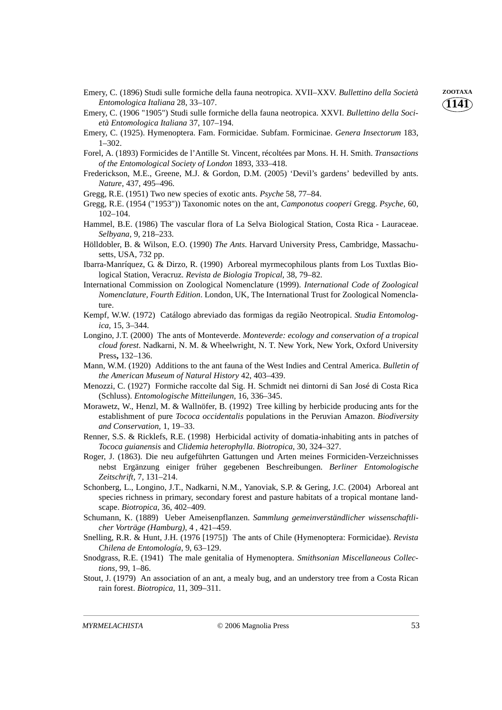- Emery, C. (1896) Studi sulle formiche della fauna neotropica. XVII–XXV. *Bullettino della Società* **ZOOTAXA** *Entomologica Italiana* 28, 33–107.
- Emery, C. (1906 "1905") Studi sulle formiche della fauna neotropica. XXVI. *Bullettino della Società Entomologica Italiana* 37, 107–194.
- Emery, C. (1925). Hymenoptera. Fam. Formicidae. Subfam. Formicinae. *Genera Insectorum* 183, 1–302.
- Forel, A. (1893) Formicides de l'Antille St. Vincent, récoltées par Mons. H. H. Smith. *Transactions of the Entomological Society of London* 1893, 333–418.
- Frederickson, M.E., Greene, M.J. & Gordon, D.M. (2005) 'Devil's gardens' bedevilled by ants. *Nature*, 437, 495–496.
- Gregg, R.E. (1951) Two new species of exotic ants. *Psyche* 58, 77–84.
- Gregg, R.E. (1954 ("1953")) Taxonomic notes on the ant, *Camponotus cooperi* Gregg. *Psyche,* 60, 102–104.
- Hammel, B.E. (1986) The vascular flora of La Selva Biological Station, Costa Rica Lauraceae. *Selbyana,* 9, 218–233.
- Hölldobler, B. & Wilson, E.O. (1990) *The Ants*. Harvard University Press, Cambridge, Massachusetts, USA, 732 pp.
- Ibarra-Manríquez, G. & Dirzo, R. (1990) Arboreal myrmecophilous plants from Los Tuxtlas Biological Station, Veracruz. *Revista de Biologia Tropical,* 38, 79–82.
- International Commission on Zoological Nomenclature (1999). *International Code of Zoological Nomenclature, Fourth Edition*. London, UK, The International Trust for Zoological Nomenclature.
- Kempf, W.W. (1972) Catálogo abreviado das formigas da região Neotropical. *Studia Entomologica,* 15, 3–344.
- Longino, J.T. (2000) The ants of Monteverde. *Monteverde: ecology and conservation of a tropical cloud forest*. Nadkarni, N. M. & Wheelwright, N. T. New York, New York, Oxford University Press**,** 132–136.
- Mann, W.M. (1920) Additions to the ant fauna of the West Indies and Central America. *Bulletin of the American Museum of Natural History* 42, 403–439.
- Menozzi, C. (1927) Formiche raccolte dal Sig. H. Schmidt nei dintorni di San José di Costa Rica (Schluss). *Entomologische Mitteilungen,* 16, 336–345.
- Morawetz, W., Henzl, M. & Wallnöfer, B. (1992) Tree killing by herbicide producing ants for the establishment of pure *Tococa occidentalis* populations in the Peruvian Amazon. *Biodiversity and Conservation,* 1, 19–33.
- Renner, S.S. & Ricklefs, R.E. (1998) Herbicidal activity of domatia-inhabiting ants in patches of *Tococa guianensis* and *Clidemia heterophylla*. *Biotropica,* 30, 324–327.
- Roger, J. (1863). Die neu aufgeführten Gattungen und Arten meines Formiciden-Verzeichnisses nebst Ergänzung einiger früher gegebenen Beschreibungen. *Berliner Entomologische Zeitschrift,* 7, 131–214.
- Schonberg, L., Longino, J.T., Nadkarni, N.M., Yanoviak, S.P. & Gering, J.C. (2004) Arboreal ant species richness in primary, secondary forest and pasture habitats of a tropical montane landscape. *Biotropica,* 36, 402–409.
- Schumann, K. (1889) Ueber Ameisenpflanzen. *Sammlung gemeinverständlicher wissenschaftlicher Vorträge (Hamburg),* 4 , 421–459.
- Snelling, R.R. & Hunt, J.H. (1976 [1975]) The ants of Chile (Hymenoptera: Formicidae). *Revista Chilena de Entomología,* 9, 63–129.
- Snodgrass, R.E. (1941) The male genitalia of Hymenoptera. *Smithsonian Miscellaneous Collections,* 99, 1–86.
- Stout, J. (1979) An association of an ant, a mealy bug, and an understory tree from a Costa Rican rain forest. *Biotropica,* 11, 309–311.